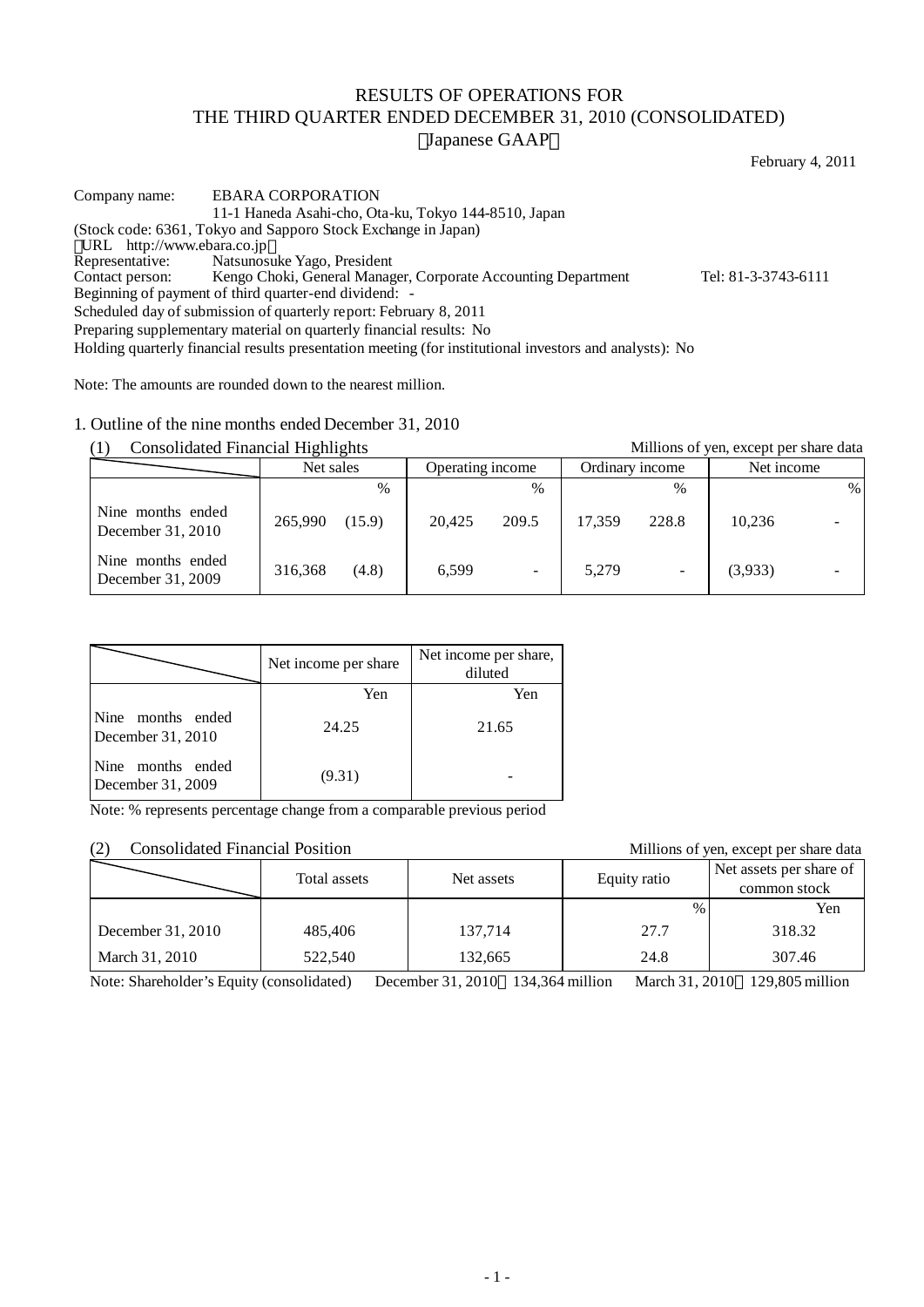# RESULTS OF OPERATIONS FOR THE THIRD QUARTER ENDED DECEMBER 31, 2010 (CONSOLIDATED) Japanese GAAP

February 4, 2011

Company name: EBARA CORPORATION 11-1 Haneda Asahi-cho, Ota-ku, Tokyo 144-8510, Japan (Stock code: 6361, Tokyo and Sapporo Stock Exchange in Japan) URL http://www.ebara.co.jp<br>Representative: Natsunos Representative: Natsunosuke Yago, President<br>Contact person: Kengo Choki, General Manag Kengo Choki, General Manager, Corporate Accounting Department Tel: 81-3-3743-6111 Beginning of payment of third quarter-end dividend: - Scheduled day of submission of quarterly report: February 8, 2011 Preparing supplementary material on quarterly financial results: No Holding quarterly financial results presentation meeting (for institutional investors and analysts): No

Note: The amounts are rounded down to the nearest million.

1. Outline of the nine months ended December 31, 2010

(1) Consolidated Financial Highlights Millions of yen, except per share data

| $\lambda$<br>conformation 1 matricial 111, matrice |           |        |                  |                          |        | ministro of you, eneepy per share cann |            |   |
|----------------------------------------------------|-----------|--------|------------------|--------------------------|--------|----------------------------------------|------------|---|
|                                                    | Net sales |        | Operating income |                          |        | Ordinary income                        | Net income |   |
|                                                    |           | $\%$   |                  | $\frac{0}{0}$            |        | $\frac{0}{0}$                          |            | % |
| Nine months ended<br>December 31, 2010             | 265,990   | (15.9) | 20.425           | 209.5                    | 17.359 | 228.8                                  | 10,236     |   |
| Nine months ended<br>December 31, 2009             | 316,368   | (4.8)  | 6.599            | $\overline{\phantom{a}}$ | 5,279  | $\overline{\phantom{a}}$               | (3,933)    |   |

|                                        | Net income per share | Net income per share,<br>diluted |
|----------------------------------------|----------------------|----------------------------------|
|                                        | Yen                  | Yen                              |
| Nine months ended<br>December 31, 2010 | 24.25                | 21.65                            |
| Nine months ended<br>December 31, 2009 | (9.31)               |                                  |

Note: % represents percentage change from a comparable previous period

## (2) Consolidated Financial Position Millions of yen, except per share data

|                   | Total assets | Net assets | Equity ratio | Net assets per share of<br>common stock |
|-------------------|--------------|------------|--------------|-----------------------------------------|
|                   |              |            |              | Yen                                     |
| December 31, 2010 | 485,406      | 137,714    | 27.7         | 318.32                                  |
| March 31, 2010    | 522,540      | 132,665    | 24.8         | 307.46                                  |

Note: Shareholder's Equity (consolidated) December 31, 2010 134,364 million March 31, 2010 129,805 million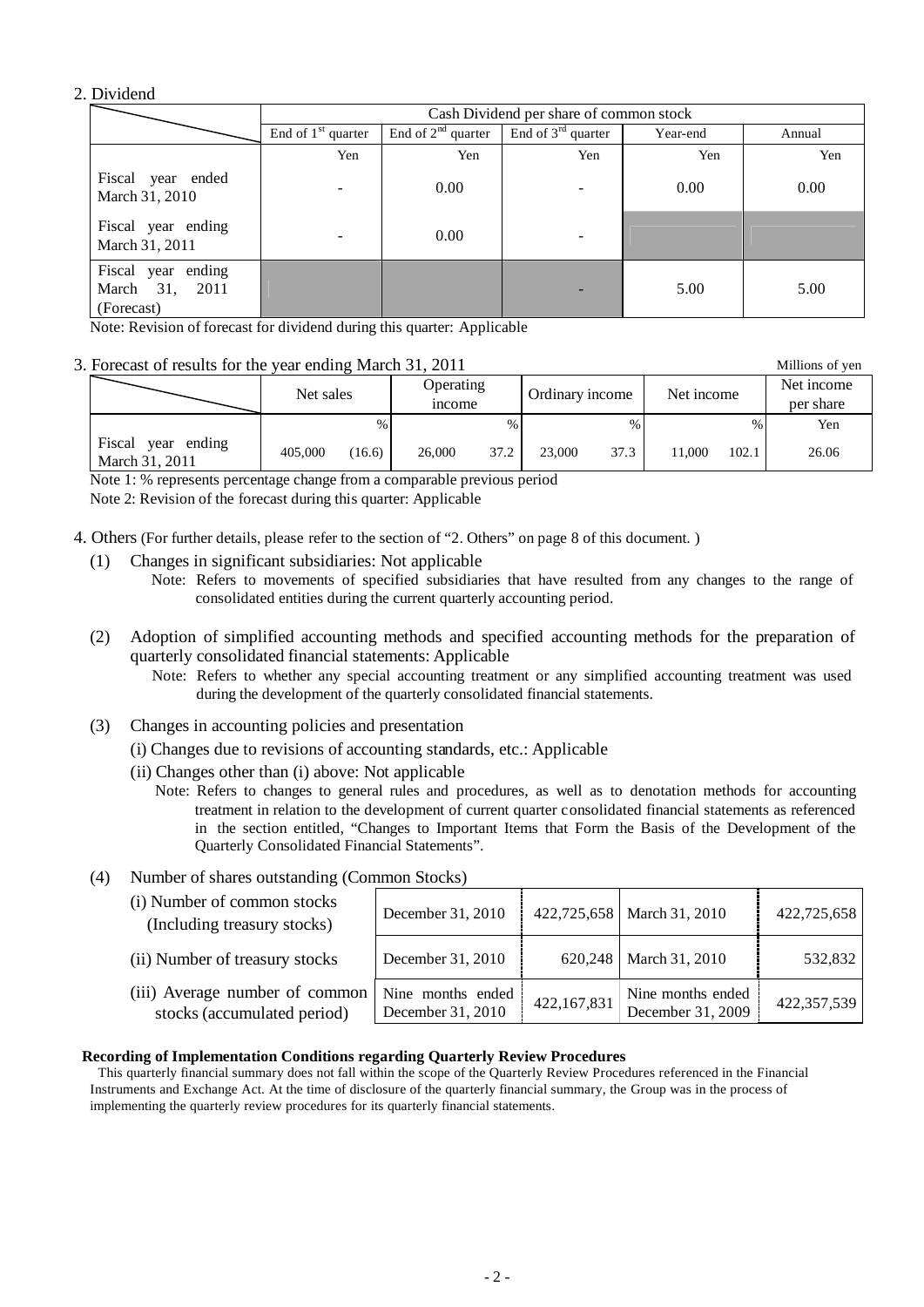## 2. Dividend

|                                                       |                      | Cash Dividend per share of common stock |                      |          |        |  |  |
|-------------------------------------------------------|----------------------|-----------------------------------------|----------------------|----------|--------|--|--|
|                                                       | End of $1st$ quarter | End of $2nd$ quarter                    | End of $3rd$ quarter | Year-end | Annual |  |  |
|                                                       | Yen                  | Yen                                     | Yen                  | Yen      | Yen    |  |  |
| Fiscal year ended<br>March 31, 2010                   |                      | 0.00                                    | ۰                    | 0.00     | 0.00   |  |  |
| Fiscal year ending<br>March 31, 2011                  |                      | 0.00                                    |                      |          |        |  |  |
| Fiscal year ending<br>March 31,<br>2011<br>(Forecast) |                      |                                         |                      | 5.00     | 5.00   |  |  |

Note: Revision of forecast for dividend during this quarter: Applicable

## 3. Forecast of results for the year ending March 31, 2011 Millions of yen

Net sales **Operating** income Ordinary income | Net income Net income per share %  $\%$  %  $\%$ Fiscal year ending March 31, 2011 405,000 (16.6) 26,000 37.2 23,000 37.3 11,000 102.1 26.06

Note 1: % represents percentage change from a comparable previous period

Note 2: Revision of the forecast during this quarter: Applicable

- 4. Others (For further details, please refer to the section of "2. Others" on page 8 of this document. )
	- (1) Changes in significant subsidiaries: Not applicable

Note: Refers to movements of specified subsidiaries that have resulted from any changes to the range of consolidated entities during the current quarterly accounting period.

- (2) Adoption of simplified accounting methods and specified accounting methods for the preparation of quarterly consolidated financial statements: Applicable
	- Note: Refers to whether any special accounting treatment or any simplified accounting treatment was used during the development of the quarterly consolidated financial statements.
- (3) Changes in accounting policies and presentation
	- (i) Changes due to revisions of accounting standards, etc.: Applicable
	- (ii) Changes other than (i) above: Not applicable
		- Note: Refers to changes to general rules and procedures, as well as to denotation methods for accounting treatment in relation to the development of current quarter consolidated financial statements as referenced in the section entitled, "Changes to Important Items that Form the Basis of the Development of the Quarterly Consolidated Financial Statements".
- (4) Number of shares outstanding (Common Stocks)

| (i) Number of common stocks<br>(Including treasury stocks)            | December 31, 2010                      |             | 422,725,658   March 31, 2010           | 422,725,658 |
|-----------------------------------------------------------------------|----------------------------------------|-------------|----------------------------------------|-------------|
| (ii) Number of treasury stocks                                        | December 31, 2010                      | 620,248     | March 31, 2010                         | 532,832     |
| (iii) Average number of common $\vert$<br>stocks (accumulated period) | Nine months ended<br>December 31, 2010 | 422,167,831 | Nine months ended<br>December 31, 2009 | 422,357,539 |

### **Recording of Implementation Conditions regarding Quarterly Review Procedures**

This quarterly financial summary does not fall within the scope of the Quarterly Review Procedures referenced in the Financial Instruments and Exchange Act. At the time of disclosure of the quarterly financial summary, the Group was in the process of implementing the quarterly review procedures for its quarterly financial statements.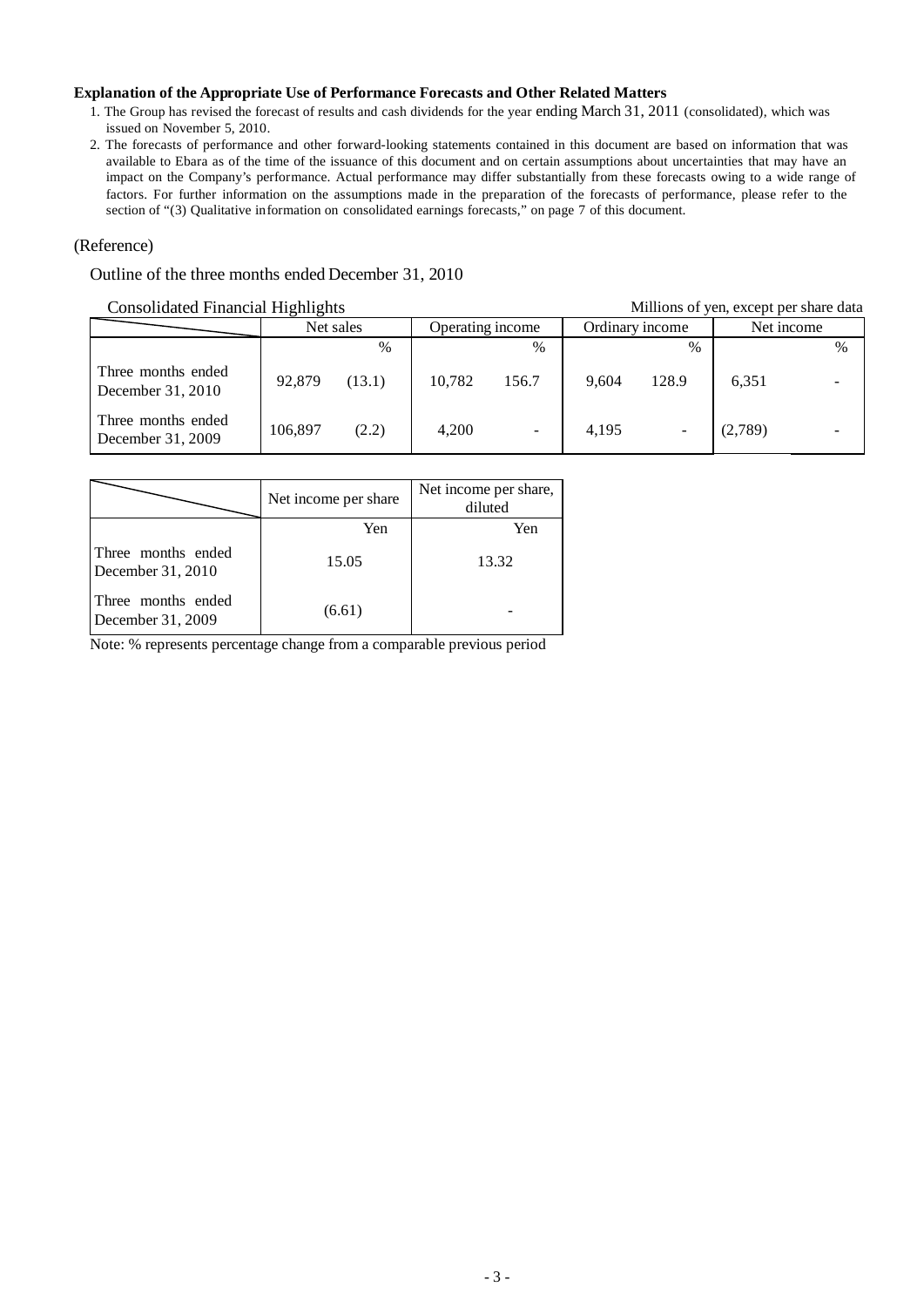## **Explanation of the Appropriate Use of Performance Forecasts and Other Related Matters**

- 1. The Group has revised the forecast of results and cash dividends for the year ending March 31, 2011 (consolidated), which was issued on November 5, 2010.
- 2. The forecasts of performance and other forward-looking statements contained in this document are based on information that was available to Ebara as of the time of the issuance of this document and on certain assumptions about uncertainties that may have an impact on the Company's performance. Actual performance may differ substantially from these forecasts owing to a wide range of factors. For further information on the assumptions made in the preparation of the forecasts of performance, please refer to the section of "(3) Qualitative information on consolidated earnings forecasts," on page 7 of this document.

## (Reference)

## Outline of the three months ended December 31, 2010

## Consolidated Financial Highlights Millions of yen, except per share data

| consonance I maneial Inginights<br>ministro of you, eneepy per share can |         |           |        |                  |       |                 |         |            |  |
|--------------------------------------------------------------------------|---------|-----------|--------|------------------|-------|-----------------|---------|------------|--|
|                                                                          |         | Net sales |        | Operating income |       | Ordinary income |         | Net income |  |
|                                                                          |         | $\%$      |        | $\%$             |       | $\%$            |         | $\%$       |  |
| Three months ended<br>December $31, 2010$                                | 92,879  | (13.1)    | 10.782 | 156.7            | 9.604 | 128.9           | 6,351   |            |  |
| Three months ended<br>December $31, 2009$                                | 106.897 | (2.2)     | 4.200  |                  | 4.195 |                 | (2,789) |            |  |

|                                         | Net income per share | Net income per share,<br>diluted |
|-----------------------------------------|----------------------|----------------------------------|
|                                         | Yen                  | Yen                              |
| Three months ended<br>December 31, 2010 | 15.05                | 13.32                            |
| Three months ended<br>December 31, 2009 | (6.61)               |                                  |

Note: % represents percentage change from a comparable previous period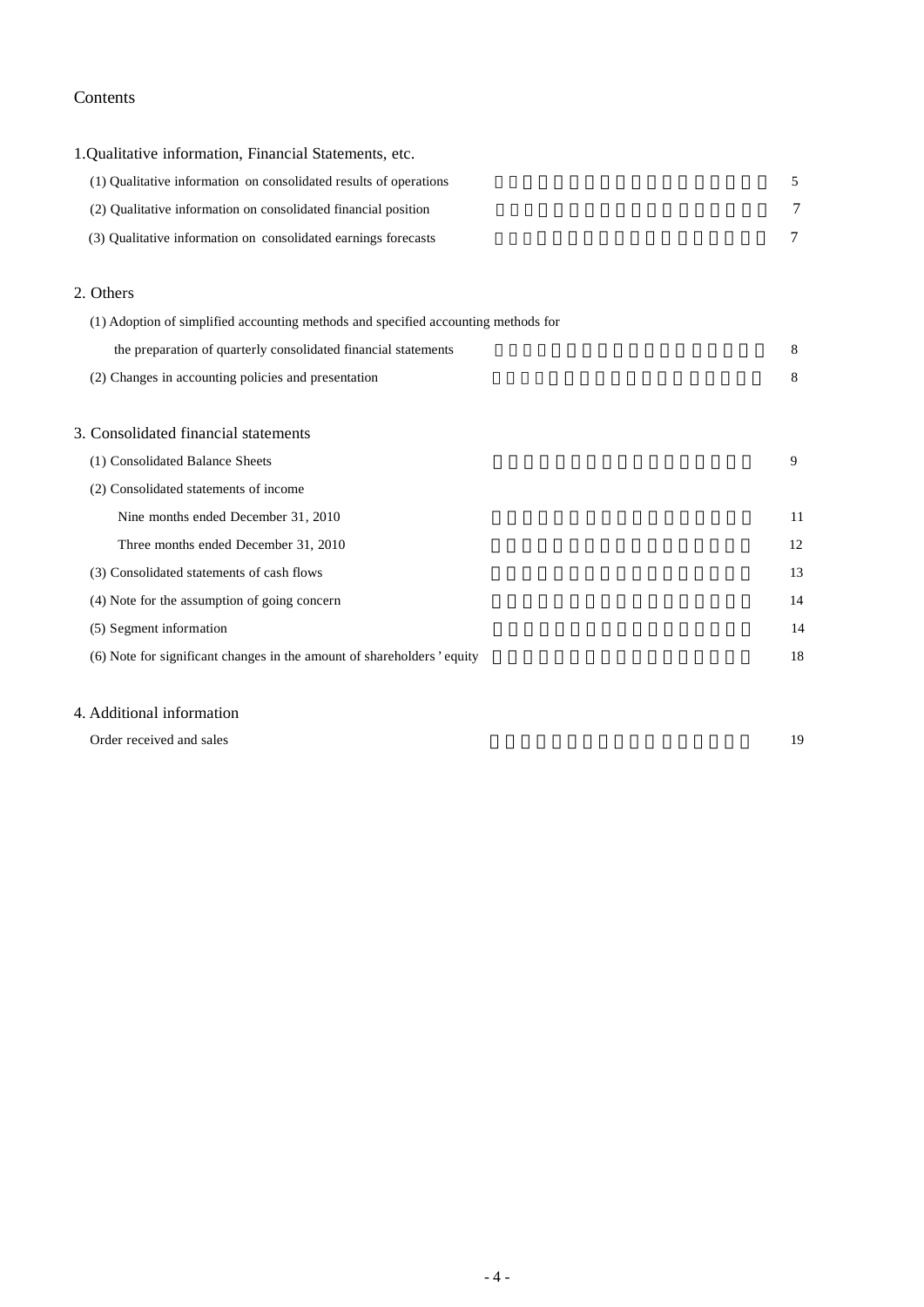# Contents

| 1. Qualitative information, Financial Statements, etc.                             |        |
|------------------------------------------------------------------------------------|--------|
| (1) Qualitative information on consolidated results of operations                  | 5      |
| (2) Qualitative information on consolidated financial position                     | 7      |
| (3) Qualitative information on consolidated earnings forecasts                     | $\tau$ |
| 2. Others                                                                          |        |
| (1) Adoption of simplified accounting methods and specified accounting methods for |        |
| the preparation of quarterly consolidated financial statements                     | 8      |
| (2) Changes in accounting policies and presentation                                | 8      |
| 3. Consolidated financial statements                                               |        |
| (1) Consolidated Balance Sheets                                                    | 9      |
| (2) Consolidated statements of income                                              |        |
| Nine months ended December 31, 2010                                                | 11     |
| Three months ended December 31, 2010                                               | 12     |
| (3) Consolidated statements of cash flows                                          | 13     |
| (4) Note for the assumption of going concern                                       | 14     |
| (5) Segment information                                                            | 14     |
| (6) Note for significant changes in the amount of shareholders' equity             | 18     |

# 4. Additional information

| Order received and sales | 1 Q |
|--------------------------|-----|
|                          |     |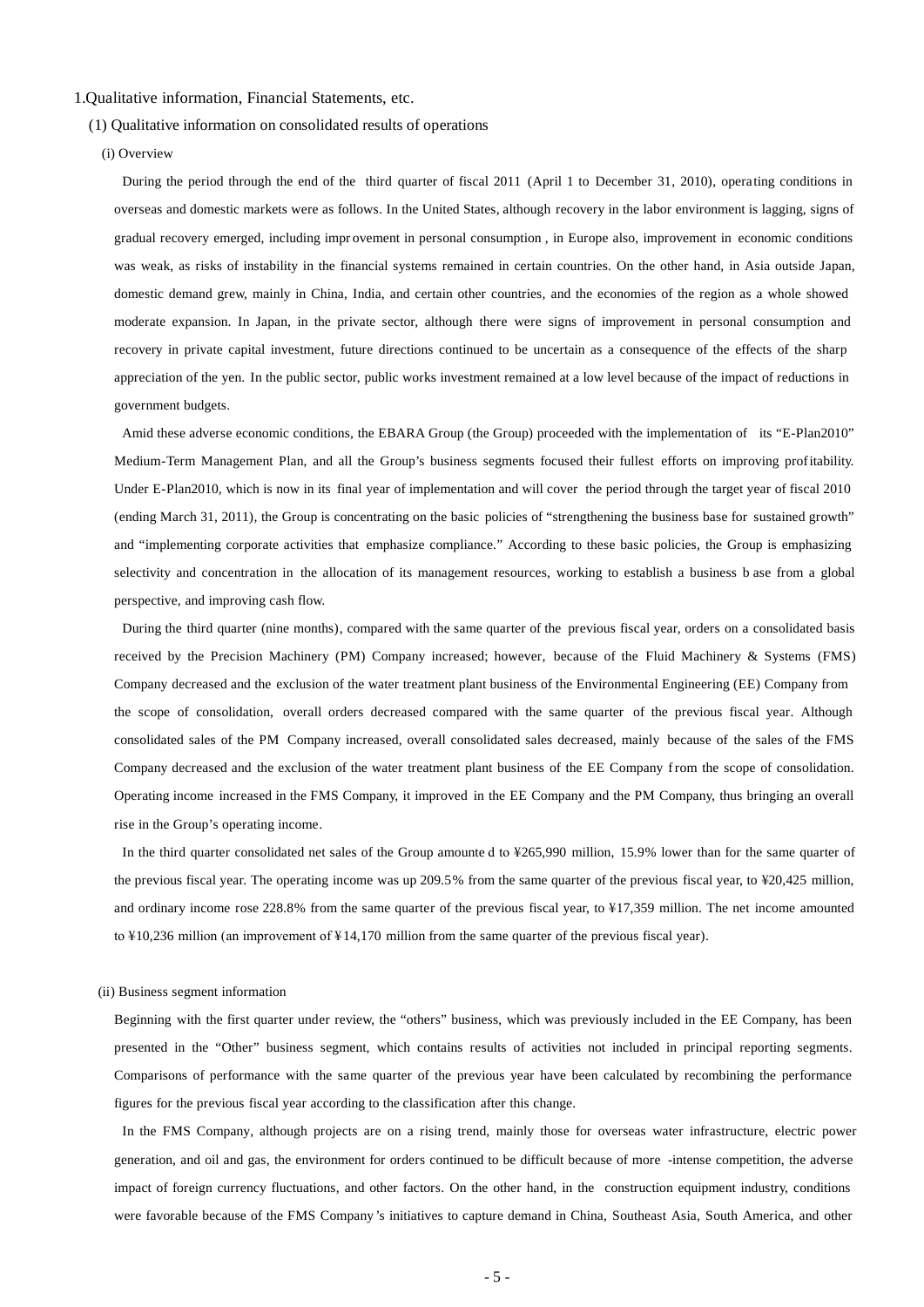#### 1.Qualitative information, Financial Statements, etc.

#### (1) Qualitative information on consolidated results of operations

(i) Overview

During the period through the end of the third quarter of fiscal 2011 (April 1 to December 31, 2010), operating conditions in overseas and domestic markets were as follows. In the United States, although recovery in the labor environment is lagging, signs of gradual recovery emerged, including impr ovement in personal consumption , in Europe also, improvement in economic conditions was weak, as risks of instability in the financial systems remained in certain countries. On the other hand, in Asia outside Japan, domestic demand grew, mainly in China, India, and certain other countries, and the economies of the region as a whole showed moderate expansion. In Japan, in the private sector, although there were signs of improvement in personal consumption and recovery in private capital investment, future directions continued to be uncertain as a consequence of the effects of the sharp appreciation of the yen. In the public sector, public works investment remained at a low level because of the impact of reductions in government budgets.

Amid these adverse economic conditions, the EBARA Group (the Group) proceeded with the implementation of its "E-Plan2010" Medium-Term Management Plan, and all the Group's business segments focused their fullest efforts on improving profitability. Under E-Plan2010, which is now in its final year of implementation and will cover the period through the target year of fiscal 2010 (ending March 31, 2011), the Group is concentrating on the basic policies of "strengthening the business base for sustained growth" and "implementing corporate activities that emphasize compliance." According to these basic policies, the Group is emphasizing selectivity and concentration in the allocation of its management resources, working to establish a business b ase from a global perspective, and improving cash flow.

During the third quarter (nine months), compared with the same quarter of the previous fiscal year, orders on a consolidated basis received by the Precision Machinery (PM) Company increased; however, because of the Fluid Machinery & Systems (FMS) Company decreased and the exclusion of the water treatment plant business of the Environmental Engineering (EE) Company from the scope of consolidation, overall orders decreased compared with the same quarter of the previous fiscal year. Although consolidated sales of the PM Company increased, overall consolidated sales decreased, mainly because of the sales of the FMS Company decreased and the exclusion of the water treatment plant business of the EE Company from the scope of consolidation. Operating income increased in the FMS Company, it improved in the EE Company and the PM Company, thus bringing an overall rise in the Group's operating income.

In the third quarter consolidated net sales of the Group amounte d to ¥265,990 million, 15.9% lower than for the same quarter of the previous fiscal year. The operating income was up 209.5% from the same quarter of the previous fiscal year, to ¥20,425 million, and ordinary income rose 228.8% from the same quarter of the previous fiscal year, to ¥17,359 million. The net income amounted to ¥10,236 million (an improvement of ¥ 14,170 million from the same quarter of the previous fiscal year).

#### (ii) Business segment information

Beginning with the first quarter under review, the "others" business, which was previously included in the EE Company, has been presented in the "Other" business segment, which contains results of activities not included in principal reporting segments. Comparisons of performance with the same quarter of the previous year have been calculated by recombining the performance figures for the previous fiscal year according to the classification after this change.

In the FMS Company, although projects are on a rising trend, mainly those for overseas water infrastructure, electric power generation, and oil and gas, the environment for orders continued to be difficult because of more -intense competition, the adverse impact of foreign currency fluctuations, and other factors. On the other hand, in the construction equipment industry, conditions were favorable because of the FMS Company 's initiatives to capture demand in China, Southeast Asia, South America, and other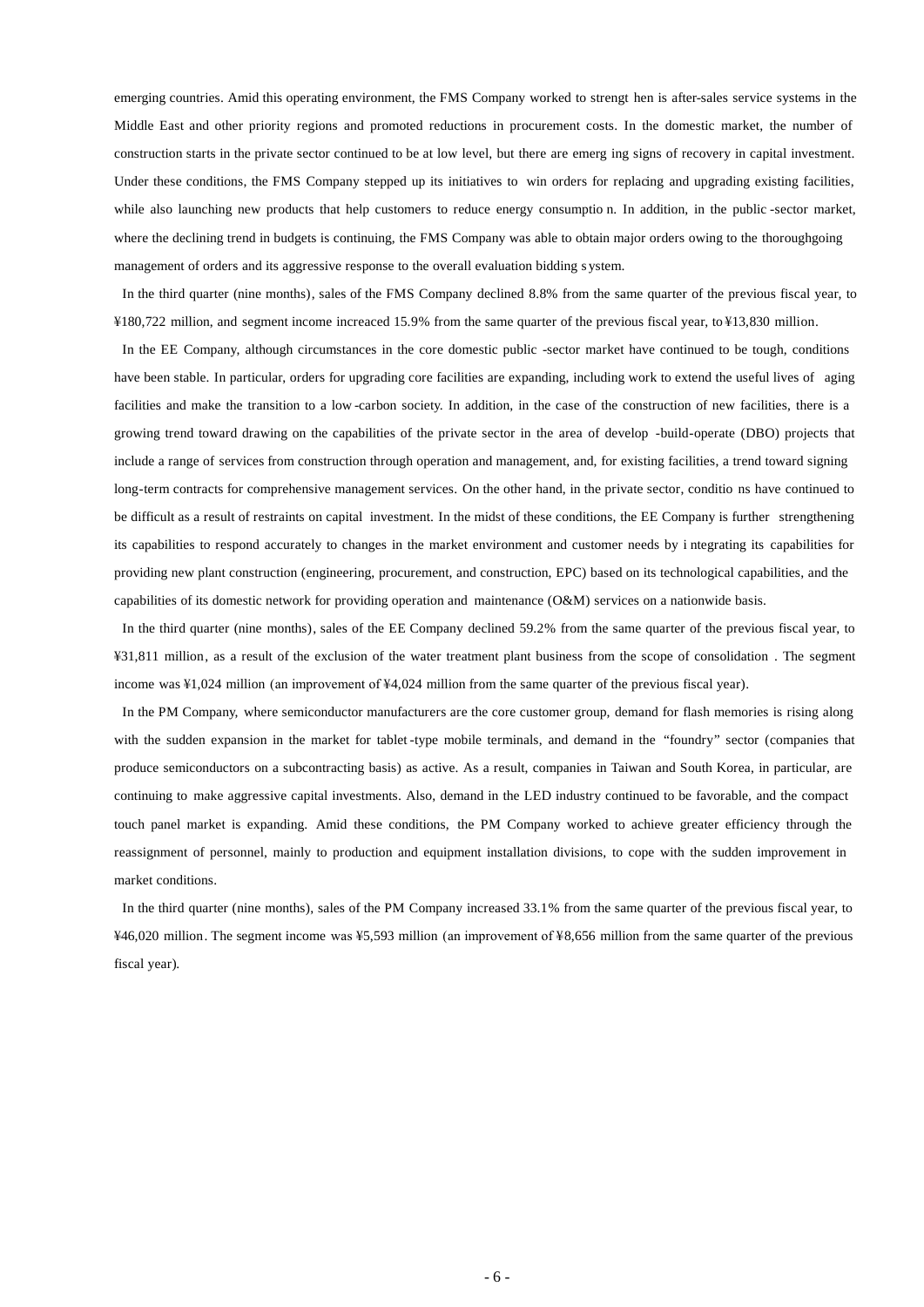emerging countries. Amid this operating environment, the FMS Company worked to strengt hen is after-sales service systems in the Middle East and other priority regions and promoted reductions in procurement costs. In the domestic market, the number of construction starts in the private sector continued to be at low level, but there are emerg ing signs of recovery in capital investment. Under these conditions, the FMS Company stepped up its initiatives to win orders for replacing and upgrading existing facilities, while also launching new products that help customers to reduce energy consumptio n. In addition, in the public -sector market, where the declining trend in budgets is continuing, the FMS Company was able to obtain major orders owing to the thoroughgoing management of orders and its aggressive response to the overall evaluation bidding s ystem.

In the third quarter (nine months), sales of the FMS Company declined 8.8% from the same quarter of the previous fiscal year, to ¥180,722 million, and segment income increaced 15.9% from the same quarter of the previous fiscal year, to ¥13,830 million.

In the EE Company, although circumstances in the core domestic public -sector market have continued to be tough, conditions have been stable. In particular, orders for upgrading core facilities are expanding, including work to extend the useful lives of aging facilities and make the transition to a low -carbon society. In addition, in the case of the construction of new facilities, there is a growing trend toward drawing on the capabilities of the private sector in the area of develop -build-operate (DBO) projects that include a range of services from construction through operation and management, and, for existing facilities, a trend toward signing long-term contracts for comprehensive management services. On the other hand, in the private sector, conditio ns have continued to be difficult as a result of restraints on capital investment. In the midst of these conditions, the EE Company is further strengthening its capabilities to respond accurately to changes in the market environment and customer needs by i ntegrating its capabilities for providing new plant construction (engineering, procurement, and construction, EPC) based on its technological capabilities, and the capabilities of its domestic network for providing operation and maintenance (O&M) services on a nationwide basis.

In the third quarter (nine months), sales of the EE Company declined 59.2% from the same quarter of the previous fiscal year, to ¥31,811 million, as a result of the exclusion of the water treatment plant business from the scope of consolidation . The segment income was ¥1,024 million (an improvement of ¥4,024 million from the same quarter of the previous fiscal year).

In the PM Company, where semiconductor manufacturers are the core customer group, demand for flash memories is rising along with the sudden expansion in the market for tablet -type mobile terminals, and demand in the "foundry" sector (companies that produce semiconductors on a subcontracting basis) as active. As a result, companies in Taiwan and South Korea, in particular, are continuing to make aggressive capital investments. Also, demand in the LED industry continued to be favorable, and the compact touch panel market is expanding. Amid these conditions, the PM Company worked to achieve greater efficiency through the reassignment of personnel, mainly to production and equipment installation divisions, to cope with the sudden improvement in market conditions.

In the third quarter (nine months), sales of the PM Company increased 33.1% from the same quarter of the previous fiscal year, to ¥46,020 million. The segment income was ¥5,593 million (an improvement of ¥8,656 million from the same quarter of the previous fiscal year).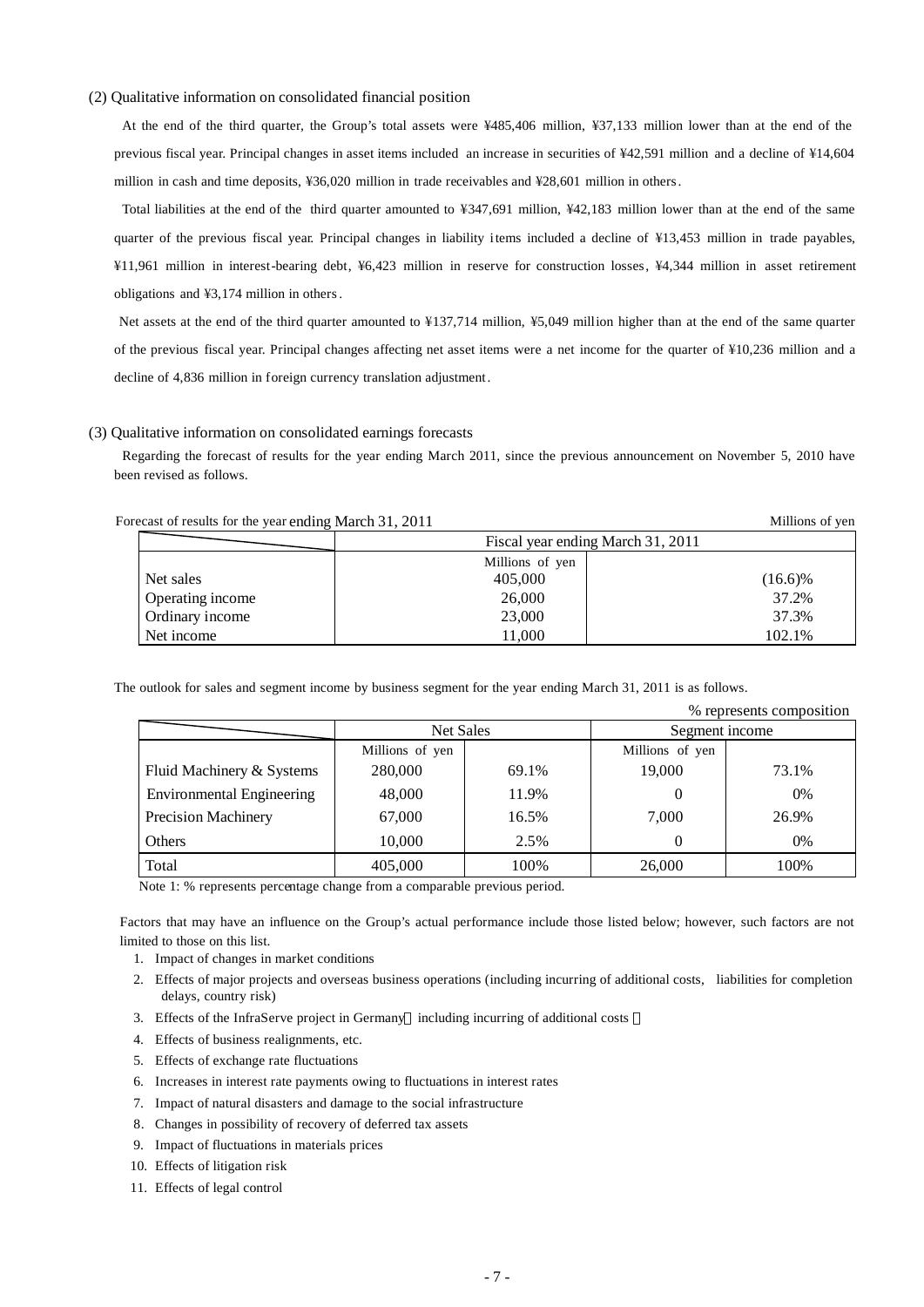#### (2) Qualitative information on consolidated financial position

At the end of the third quarter, the Group's total assets were ¥485,406 million, ¥37,133 million lower than at the end of the previous fiscal year. Principal changes in asset items included an increase in securities of ¥42,591 million and a decline of ¥14,604 million in cash and time deposits, ¥36,020 million in trade receivables and ¥28,601 million in others.

Total liabilities at the end of the third quarter amounted to ¥347,691 million, ¥42,183 million lower than at the end of the same quarter of the previous fiscal year. Principal changes in liability items included a decline of ¥13,453 million in trade payables, ¥11,961 million in interest-bearing debt, ¥6,423 million in reserve for construction losses, ¥4,344 million in asset retirement obligations and ¥3,174 million in others.

Net assets at the end of the third quarter amounted to ¥137,714 million, ¥5,049 million higher than at the end of the same quarter of the previous fiscal year. Principal changes affecting net asset items were a net income for the quarter of ¥10,236 million and a decline of 4,836 million in foreign currency translation adjustment.

#### (3) Qualitative information on consolidated earnings forecasts

Regarding the forecast of results for the year ending March 2011, since the previous announcement on November 5, 2010 have been revised as follows.

|                  | Fiscal year ending March 31, 2011 |            |
|------------------|-----------------------------------|------------|
|                  | Millions of yen                   |            |
| Net sales        | 405,000                           | $(16.6)\%$ |
| Operating income | 26,000                            | 37.2%      |
| Ordinary income  | 23,000                            | 37.3%      |
| Net income       | 11.000                            | 102.1%     |

Forecast of results for the year ending March 31, 2011 Millions of yen

The outlook for sales and segment income by business segment for the year ending March 31, 2011 is as follows.

| % represents composition         |                  |       |                 |       |  |
|----------------------------------|------------------|-------|-----------------|-------|--|
|                                  | <b>Net Sales</b> |       | Segment income  |       |  |
|                                  | Millions of yen  |       | Millions of yen |       |  |
| Fluid Machinery & Systems        | 280,000          | 69.1% | 19,000          | 73.1% |  |
| <b>Environmental Engineering</b> | 48,000           | 11.9% | 0               | 0%    |  |
| <b>Precision Machinery</b>       | 67,000           | 16.5% | 7,000           | 26.9% |  |
| Others                           | 10,000           | 2.5%  | 0               | 0%    |  |
| Total                            | 405,000          | 100%  | 26,000          | 100%  |  |

Note 1: % represents percentage change from a comparable previous period.

Factors that may have an influence on the Group's actual performance include those listed below; however, such factors are not limited to those on this list.

- 1. Impact of changes in market conditions
- 2. Effects of major projects and overseas business operations (including incurring of additional costs, liabilities for completion delays, country risk)
- 3. Effects of the InfraServe project in Germany including incurring of additional costs
- 4. Effects of business realignments, etc.
- 5. Effects of exchange rate fluctuations
- 6. Increases in interest rate payments owing to fluctuations in interest rates
- 7. Impact of natural disasters and damage to the social infrastructure
- 8. Changes in possibility of recovery of deferred tax assets
- 9. Impact of fluctuations in materials prices
- 10. Effects of litigation risk
- 11. Effects of legal control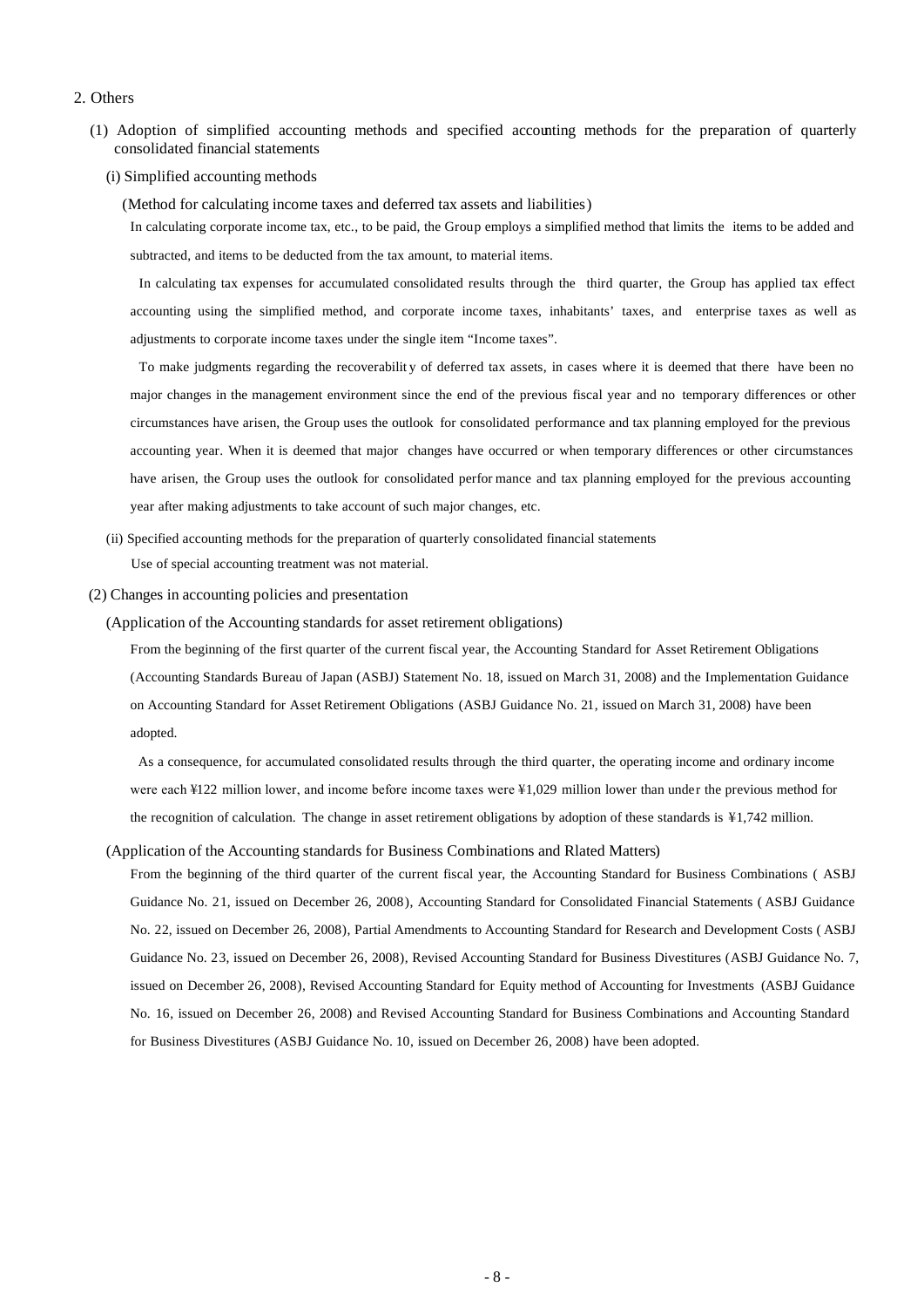#### 2. Others

- (1) Adoption of simplified accounting methods and specified accounting methods for the preparation of quarterly consolidated financial statements
	- (i) Simplified accounting methods

(Method for calculating income taxes and deferred tax assets and liabilities)

In calculating corporate income tax, etc., to be paid, the Group employs a simplified method that limits the items to be added and subtracted, and items to be deducted from the tax amount, to material items.

In calculating tax expenses for accumulated consolidated results through the third quarter, the Group has applied tax effect accounting using the simplified method, and corporate income taxes, inhabitants' taxes, and enterprise taxes as well as adjustments to corporate income taxes under the single item "Income taxes".

To make judgments regarding the recoverabilit y of deferred tax assets, in cases where it is deemed that there have been no major changes in the management environment since the end of the previous fiscal year and no temporary differences or other circumstances have arisen, the Group uses the outlook for consolidated performance and tax planning employed for the previous accounting year. When it is deemed that major changes have occurred or when temporary differences or other circumstances have arisen, the Group uses the outlook for consolidated perfor mance and tax planning employed for the previous accounting year after making adjustments to take account of such major changes, etc.

(ii) Specified accounting methods for the preparation of quarterly consolidated financial statements Use of special accounting treatment was not material.

#### (2) Changes in accounting policies and presentation

(Application of the Accounting standards for asset retirement obligations)

From the beginning of the first quarter of the current fiscal year, the Accounting Standard for Asset Retirement Obligations (Accounting Standards Bureau of Japan (ASBJ) Statement No. 18, issued on March 31, 2008) and the Implementation Guidance on Accounting Standard for Asset Retirement Obligations (ASBJ Guidance No. 21, issued on March 31, 2008) have been adopted.

As a consequence, for accumulated consolidated results through the third quarter, the operating income and ordinary income were each ¥122 million lower, and income before income taxes were ¥1,029 million lower than under the previous method for the recognition of calculation. The change in asset retirement obligations by adoption of these standards is ¥1,742 million.

#### (Application of the Accounting standards for Business Combinations and Rlated Matters)

From the beginning of the third quarter of the current fiscal year, the Accounting Standard for Business Combinations ( ASBJ Guidance No. 21, issued on December 26, 2008), Accounting Standard for Consolidated Financial Statements ( ASBJ Guidance No. 22, issued on December 26, 2008), Partial Amendments to Accounting Standard for Research and Development Costs ( ASBJ Guidance No. 23, issued on December 26, 2008), Revised Accounting Standard for Business Divestitures (ASBJ Guidance No. 7, issued on December 26, 2008), Revised Accounting Standard for Equity method of Accounting for Investments (ASBJ Guidance No. 16, issued on December 26, 2008) and Revised Accounting Standard for Business Combinations and Accounting Standard for Business Divestitures (ASBJ Guidance No. 10, issued on December 26, 2008) have been adopted.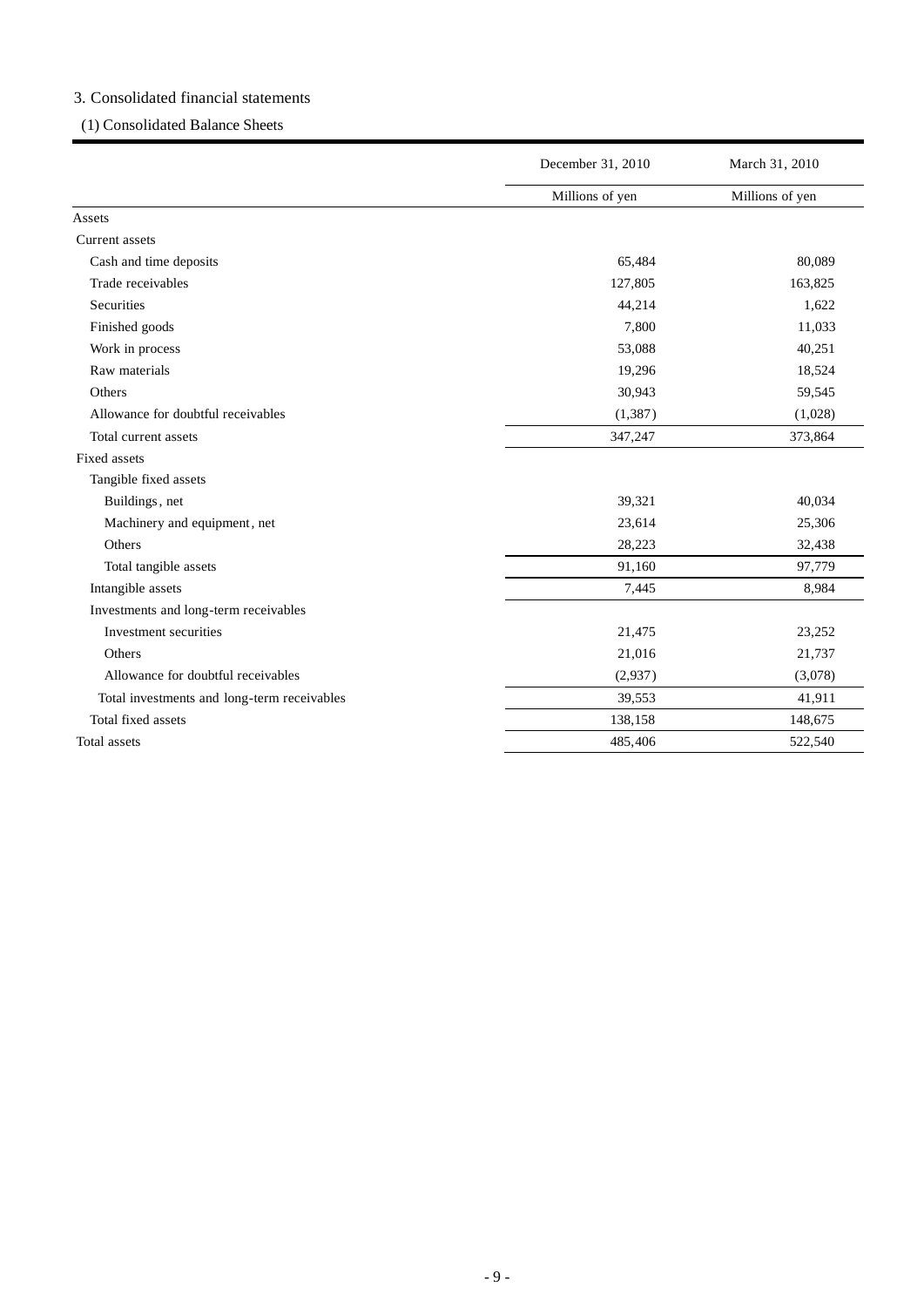# 3. Consolidated financial statements

# (1) Consolidated Balance Sheets

|                                             | December 31, 2010 | March 31, 2010  |
|---------------------------------------------|-------------------|-----------------|
|                                             | Millions of yen   | Millions of yen |
| Assets                                      |                   |                 |
| Current assets                              |                   |                 |
| Cash and time deposits                      | 65,484            | 80,089          |
| Trade receivables                           | 127,805           | 163,825         |
| <b>Securities</b>                           | 44,214            | 1,622           |
| Finished goods                              | 7,800             | 11,033          |
| Work in process                             | 53,088            | 40,251          |
| Raw materials                               | 19,296            | 18,524          |
| Others                                      | 30,943            | 59,545          |
| Allowance for doubtful receivables          | (1, 387)          | (1,028)         |
| Total current assets                        | 347,247           | 373,864         |
| Fixed assets                                |                   |                 |
| Tangible fixed assets                       |                   |                 |
| Buildings, net                              | 39,321            | 40,034          |
| Machinery and equipment, net                | 23,614            | 25,306          |
| Others                                      | 28,223            | 32,438          |
| Total tangible assets                       | 91,160            | 97,779          |
| Intangible assets                           | 7,445             | 8,984           |
| Investments and long-term receivables       |                   |                 |
| Investment securities                       | 21,475            | 23,252          |
| Others                                      | 21,016            | 21,737          |
| Allowance for doubtful receivables          | (2,937)           | (3,078)         |
| Total investments and long-term receivables | 39,553            | 41,911          |
| Total fixed assets                          | 138,158           | 148,675         |
| Total assets                                | 485,406           | 522,540         |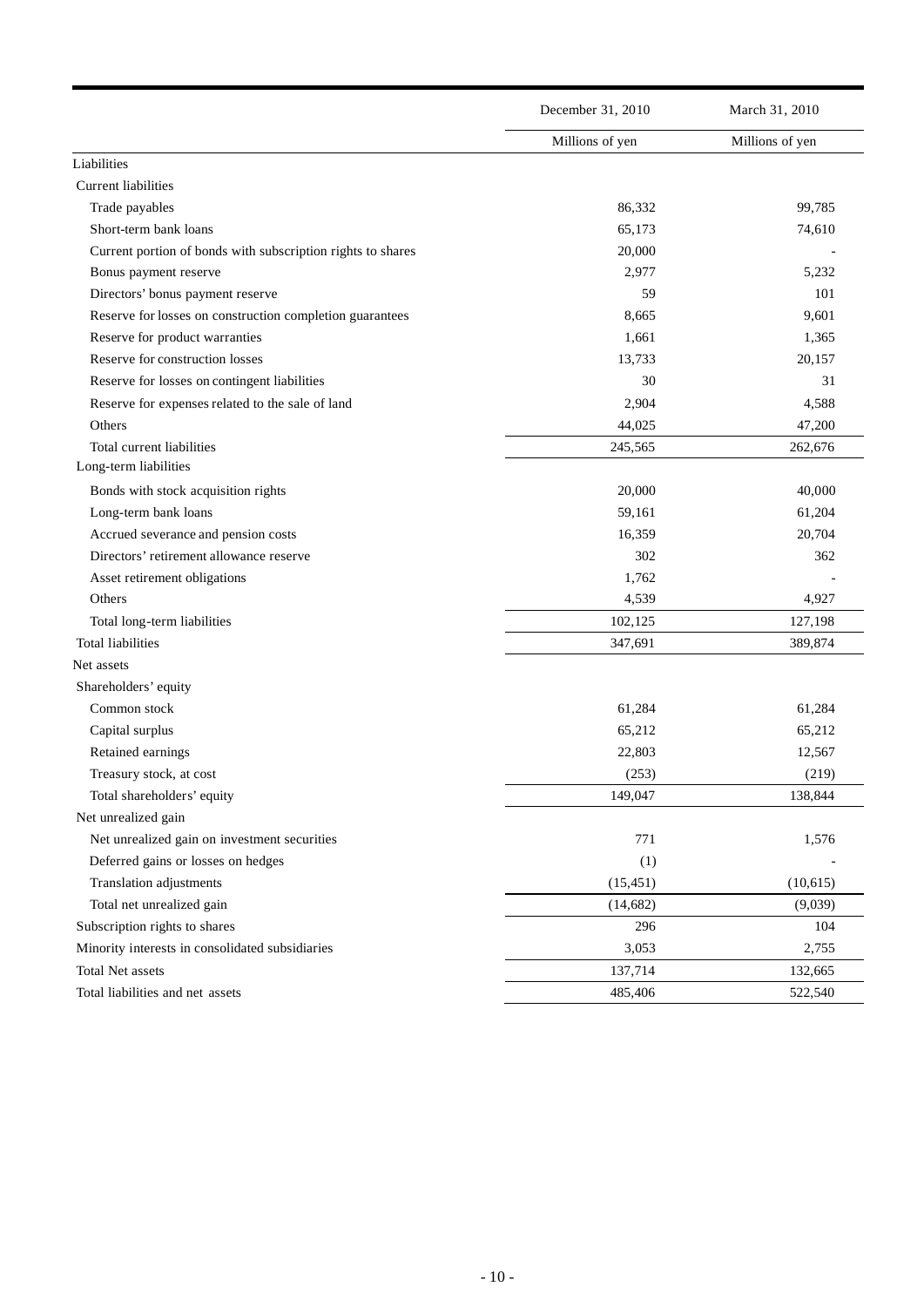|                                                             | December 31, 2010 | March 31, 2010  |
|-------------------------------------------------------------|-------------------|-----------------|
|                                                             | Millions of yen   | Millions of yen |
| Liabilities                                                 |                   |                 |
| <b>Current liabilities</b>                                  |                   |                 |
| Trade payables                                              | 86,332            | 99,785          |
| Short-term bank loans                                       | 65,173            | 74,610          |
| Current portion of bonds with subscription rights to shares | 20,000            |                 |
| Bonus payment reserve                                       | 2,977             | 5,232           |
| Directors' bonus payment reserve                            | 59                | 101             |
| Reserve for losses on construction completion guarantees    | 8,665             | 9,601           |
| Reserve for product warranties                              | 1,661             | 1,365           |
| Reserve for construction losses                             | 13,733            | 20,157          |
| Reserve for losses on contingent liabilities                | 30                | 31              |
| Reserve for expenses related to the sale of land            | 2,904             | 4,588           |
| Others                                                      | 44,025            | 47,200          |
| Total current liabilities                                   | 245,565           | 262,676         |
| Long-term liabilities                                       |                   |                 |
| Bonds with stock acquisition rights                         | 20,000            | 40,000          |
| Long-term bank loans                                        | 59,161            | 61,204          |
| Accrued severance and pension costs                         | 16,359            | 20,704          |
| Directors' retirement allowance reserve                     | 302               | 362             |
| Asset retirement obligations                                | 1,762             |                 |
| Others                                                      | 4,539             | 4,927           |
| Total long-term liabilities                                 | 102,125           | 127,198         |
| <b>Total liabilities</b>                                    | 347,691           | 389,874         |
| Net assets                                                  |                   |                 |
| Shareholders' equity                                        |                   |                 |
| Common stock                                                | 61,284            | 61,284          |
| Capital surplus                                             | 65,212            | 65,212          |
| Retained earnings                                           | 22,803            | 12,567          |
| Treasury stock, at cost                                     | (253)             | (219)           |
| Total shareholders' equity                                  | 149,047           | 138,844         |
| Net unrealized gain                                         |                   |                 |
| Net unrealized gain on investment securities                | 771               | 1,576           |
| Deferred gains or losses on hedges                          | (1)               |                 |
| Translation adjustments                                     | (15, 451)         | (10, 615)       |
| Total net unrealized gain                                   | (14, 682)         | (9,039)         |
| Subscription rights to shares                               | 296               | 104             |
| Minority interests in consolidated subsidiaries             | 3,053             | 2,755           |
| Total Net assets                                            | 137,714           | 132,665         |
| Total liabilities and net assets                            | 485,406           | 522,540         |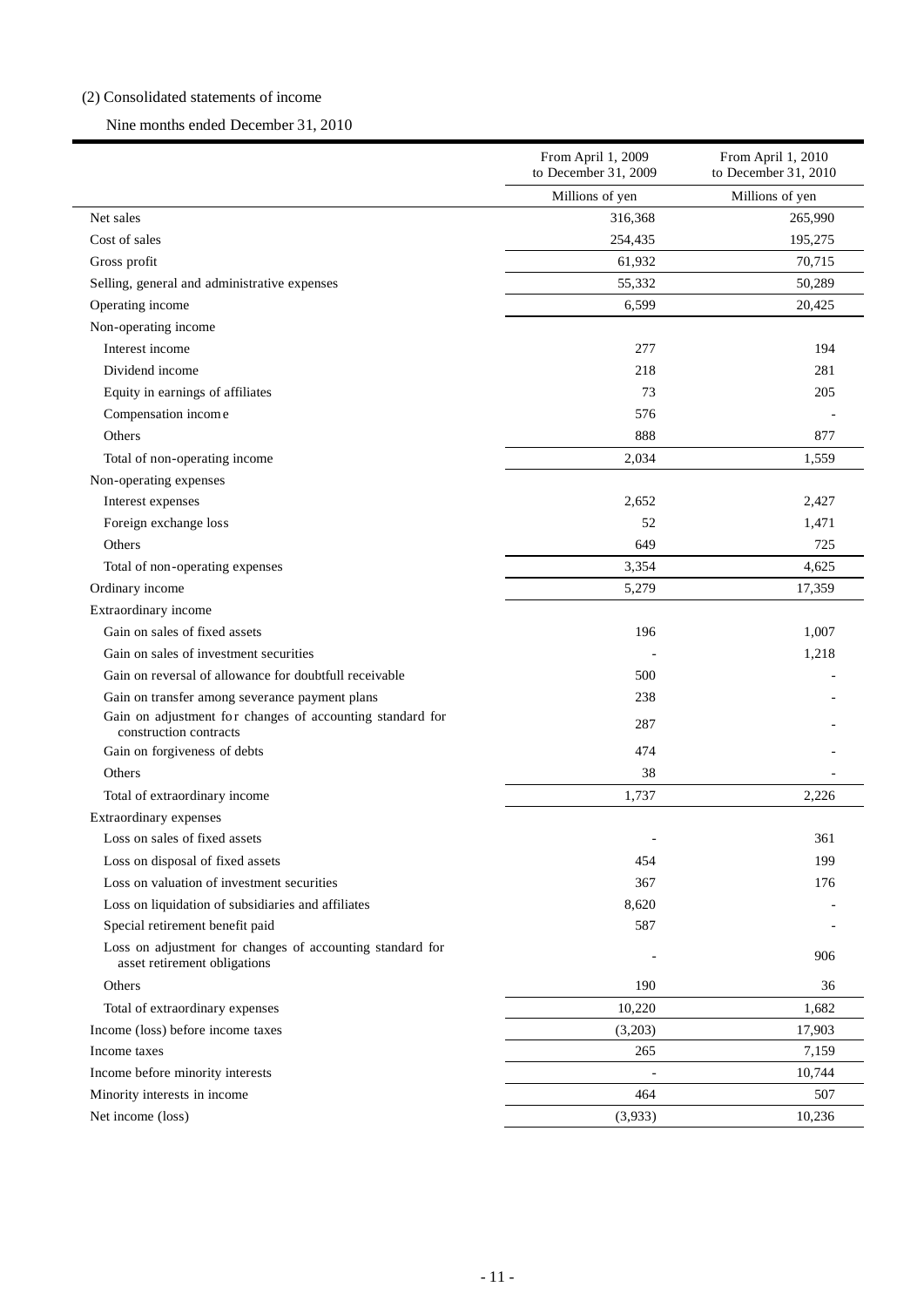## (2) Consolidated statements of income

## Nine months ended December 31, 2010

|                                                                                           | From April 1, 2009<br>to December 31, 2009 | From April 1, 2010<br>to December 31, 2010 |
|-------------------------------------------------------------------------------------------|--------------------------------------------|--------------------------------------------|
|                                                                                           | Millions of yen                            | Millions of yen                            |
| Net sales                                                                                 | 316,368                                    | 265,990                                    |
| Cost of sales                                                                             | 254,435                                    | 195,275                                    |
| Gross profit                                                                              | 61,932                                     | 70,715                                     |
| Selling, general and administrative expenses                                              | 55,332                                     | 50,289                                     |
| Operating income                                                                          | 6,599                                      | 20,425                                     |
| Non-operating income                                                                      |                                            |                                            |
| Interest income                                                                           | 277                                        | 194                                        |
| Dividend income                                                                           | 218                                        | 281                                        |
| Equity in earnings of affiliates                                                          | 73                                         | 205                                        |
| Compensation income                                                                       | 576                                        |                                            |
| Others                                                                                    | 888                                        | 877                                        |
| Total of non-operating income                                                             | 2,034                                      | 1,559                                      |
| Non-operating expenses                                                                    |                                            |                                            |
| Interest expenses                                                                         | 2,652                                      | 2,427                                      |
| Foreign exchange loss                                                                     | 52                                         | 1,471                                      |
| Others                                                                                    | 649                                        | 725                                        |
| Total of non-operating expenses                                                           | 3,354                                      | 4,625                                      |
| Ordinary income                                                                           | 5,279                                      | 17,359                                     |
| Extraordinary income                                                                      |                                            |                                            |
| Gain on sales of fixed assets                                                             | 196                                        | 1,007                                      |
| Gain on sales of investment securities                                                    |                                            | 1,218                                      |
| Gain on reversal of allowance for doubtfull receivable                                    | 500                                        |                                            |
| Gain on transfer among severance payment plans                                            | 238                                        |                                            |
| Gain on adjustment for changes of accounting standard for<br>construction contracts       | 287                                        |                                            |
| Gain on forgiveness of debts                                                              | 474                                        |                                            |
| Others                                                                                    | 38                                         |                                            |
| Total of extraordinary income                                                             | 1,737                                      | 2,226                                      |
| Extraordinary expenses                                                                    |                                            |                                            |
| Loss on sales of fixed assets                                                             |                                            | 361                                        |
| Loss on disposal of fixed assets                                                          | 454                                        | 199                                        |
| Loss on valuation of investment securities                                                | 367                                        | 176                                        |
| Loss on liquidation of subsidiaries and affiliates                                        | 8,620                                      |                                            |
| Special retirement benefit paid                                                           | 587                                        |                                            |
| Loss on adjustment for changes of accounting standard for<br>asset retirement obligations |                                            | 906                                        |
| Others                                                                                    | 190                                        | 36                                         |
| Total of extraordinary expenses                                                           | 10,220                                     | 1,682                                      |
| Income (loss) before income taxes                                                         | (3,203)                                    | 17,903                                     |
| Income taxes                                                                              | 265                                        | 7,159                                      |
| Income before minority interests                                                          |                                            | 10,744                                     |
| Minority interests in income                                                              | 464                                        | 507                                        |
| Net income (loss)                                                                         | (3,933)                                    | 10,236                                     |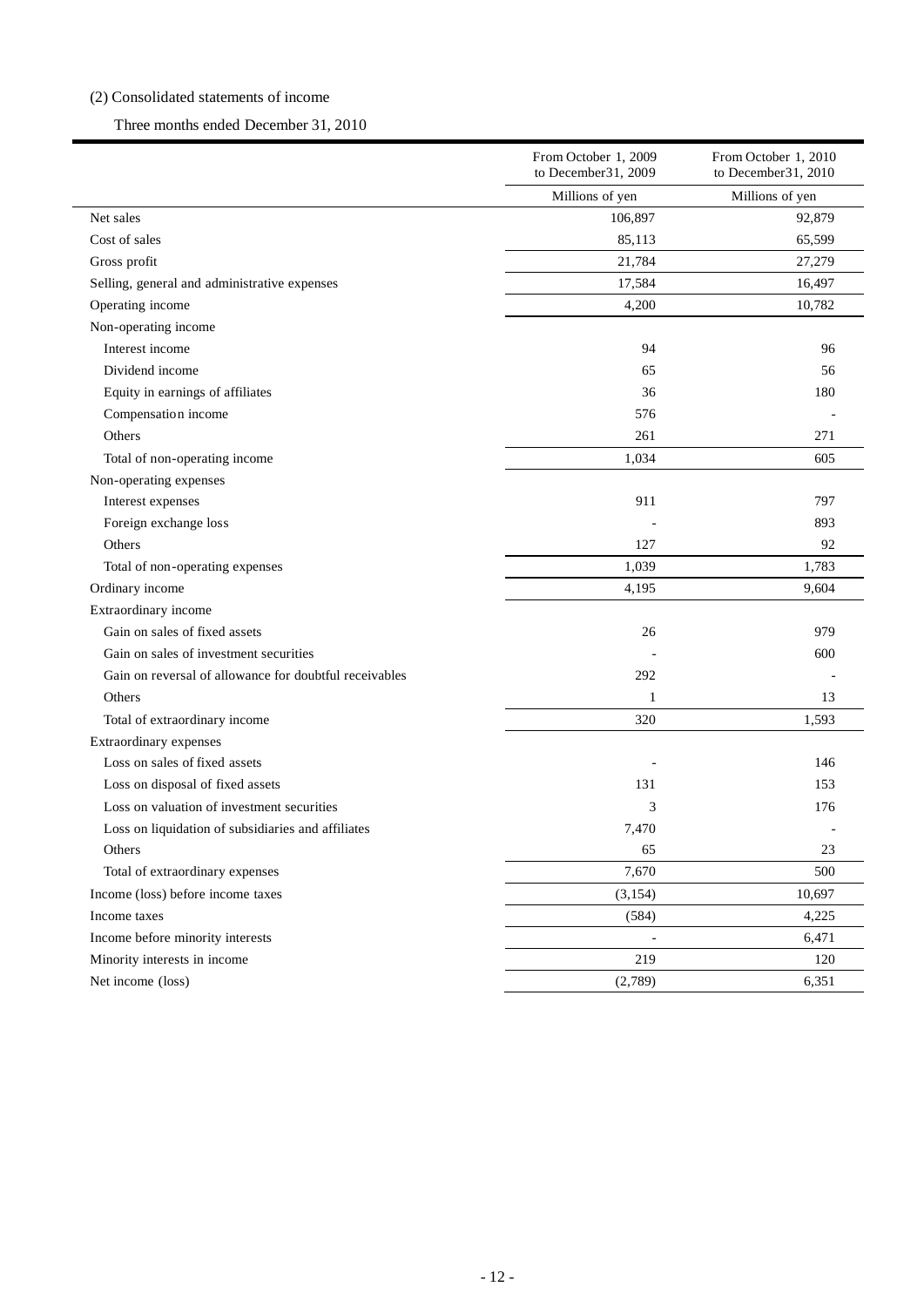## (2) Consolidated statements of income

## Three months ended December 31, 2010

|                                                        | From October 1, 2009<br>to December 31, 2009 | From October 1, 2010<br>to December 31, 2010 |
|--------------------------------------------------------|----------------------------------------------|----------------------------------------------|
|                                                        | Millions of yen                              | Millions of yen                              |
| Net sales                                              | 106,897                                      | 92,879                                       |
| Cost of sales                                          | 85,113                                       | 65,599                                       |
| Gross profit                                           | 21,784                                       | 27,279                                       |
| Selling, general and administrative expenses           | 17,584                                       | 16,497                                       |
| Operating income                                       | 4,200                                        | 10,782                                       |
| Non-operating income                                   |                                              |                                              |
| Interest income                                        | 94                                           | 96                                           |
| Dividend income                                        | 65                                           | 56                                           |
| Equity in earnings of affiliates                       | 36                                           | 180                                          |
| Compensation income                                    | 576                                          |                                              |
| Others                                                 | 261                                          | 271                                          |
| Total of non-operating income                          | 1,034                                        | 605                                          |
| Non-operating expenses                                 |                                              |                                              |
| Interest expenses                                      | 911                                          | 797                                          |
| Foreign exchange loss                                  |                                              | 893                                          |
| Others                                                 | 127                                          | 92                                           |
| Total of non-operating expenses                        | 1,039                                        | 1,783                                        |
| Ordinary income                                        | 4,195                                        | 9,604                                        |
| Extraordinary income                                   |                                              |                                              |
| Gain on sales of fixed assets                          | 26                                           | 979                                          |
| Gain on sales of investment securities                 |                                              | 600                                          |
| Gain on reversal of allowance for doubtful receivables | 292                                          |                                              |
| Others                                                 | 1                                            | 13                                           |
| Total of extraordinary income                          | 320                                          | 1,593                                        |
| Extraordinary expenses                                 |                                              |                                              |
| Loss on sales of fixed assets                          |                                              | 146                                          |
| Loss on disposal of fixed assets                       | 131                                          | 153                                          |
| Loss on valuation of investment securities             | 3                                            | 176                                          |
| Loss on liquidation of subsidiaries and affiliates     | 7,470                                        |                                              |
| Others                                                 | 65                                           | 23                                           |
| Total of extraordinary expenses                        | 7,670                                        | 500                                          |
| Income (loss) before income taxes                      | (3, 154)                                     | 10,697                                       |
| Income taxes                                           | (584)                                        | 4,225                                        |
| Income before minority interests                       | $\blacksquare$                               | 6,471                                        |
| Minority interests in income                           | 219                                          | 120                                          |
| Net income (loss)                                      | (2,789)                                      | 6,351                                        |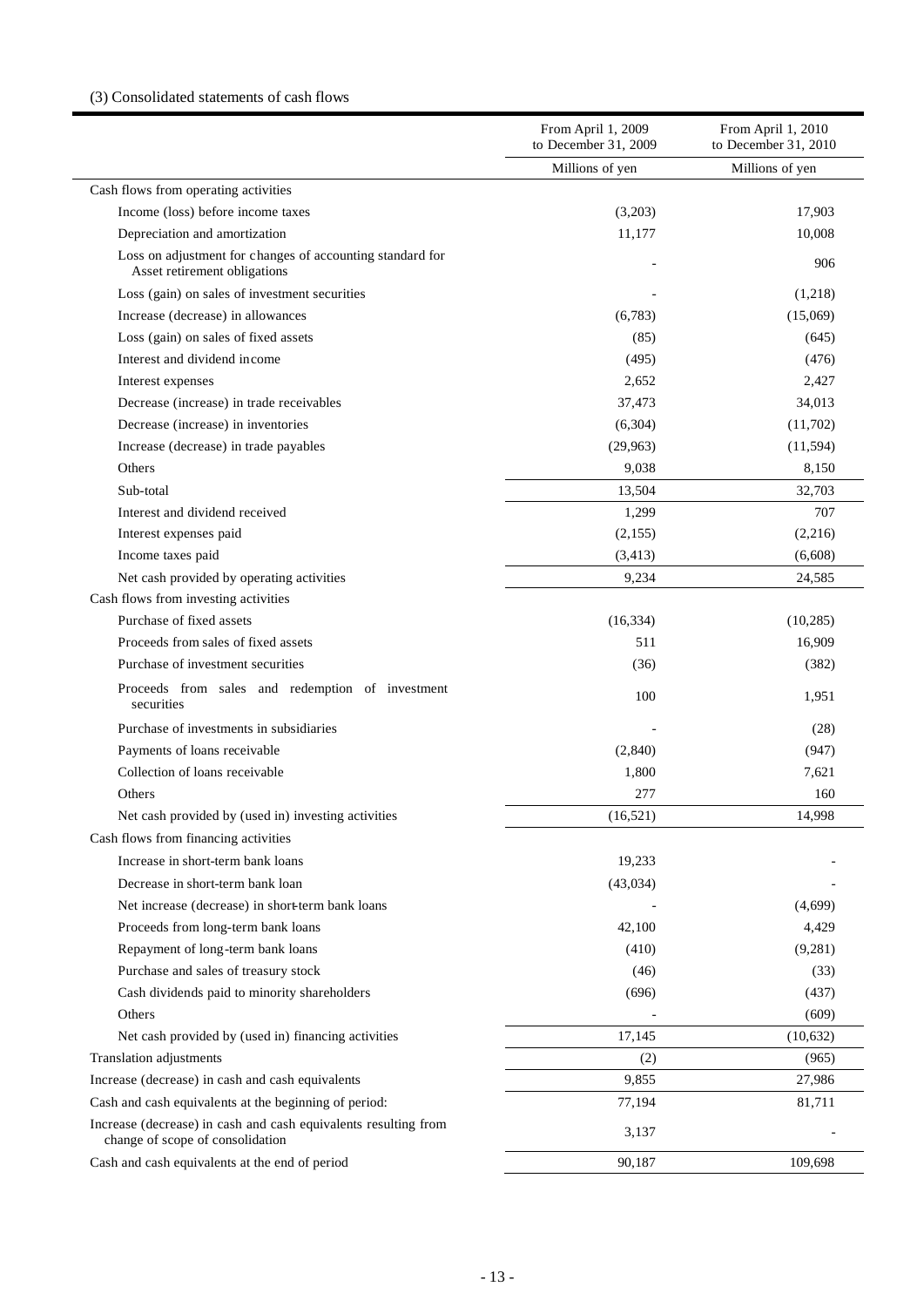# (3) Consolidated statements of cash flows

| Millions of yen<br>Millions of yen<br>Cash flows from operating activities<br>Income (loss) before income taxes<br>17,903<br>(3,203)<br>Depreciation and amortization<br>10,008<br>11,177<br>Loss on adjustment for changes of accounting standard for<br>906<br>Asset retirement obligations<br>Loss (gain) on sales of investment securities<br>(1,218)<br>Increase (decrease) in allowances<br>(6,783)<br>(15,069)<br>Loss (gain) on sales of fixed assets<br>(85)<br>(645)<br>Interest and dividend income<br>(495)<br>(476)<br>2,652<br>2,427<br>Interest expenses<br>Decrease (increase) in trade receivables<br>37,473<br>34,013<br>Decrease (increase) in inventories<br>(6,304)<br>(11,702)<br>Increase (decrease) in trade payables<br>(29,963)<br>(11, 594)<br>Others<br>9,038<br>8,150<br>32,703<br>Sub-total<br>13,504<br>Interest and dividend received<br>1,299<br>707<br>Interest expenses paid<br>(2,155)<br>(2,216)<br>Income taxes paid<br>(3, 413)<br>(6,608)<br>Net cash provided by operating activities<br>9,234<br>24,585<br>Cash flows from investing activities<br>Purchase of fixed assets<br>(10, 285)<br>(16, 334)<br>Proceeds from sales of fixed assets<br>511<br>16,909<br>Purchase of investment securities<br>(382)<br>(36)<br>Proceeds from sales and redemption of investment<br>100<br>1,951<br>securities<br>Purchase of investments in subsidiaries<br>(28)<br>Payments of loans receivable<br>(2,840)<br>(947)<br>Collection of loans receivable<br>1,800<br>7,621<br>277<br>Others<br>160<br>Net cash provided by (used in) investing activities<br>(16, 521)<br>14,998<br>Cash flows from financing activities<br>Increase in short-term bank loans<br>19,233<br>Decrease in short-term bank loan<br>(43, 034)<br>Net increase (decrease) in short-term bank loans<br>(4,699)<br>Proceeds from long-term bank loans<br>42,100<br>4,429<br>Repayment of long-term bank loans<br>(410)<br>(9,281)<br>Purchase and sales of treasury stock<br>(33)<br>(46)<br>Cash dividends paid to minority shareholders<br>(696)<br>(437)<br>Others<br>(609)<br>17,145<br>Net cash provided by (used in) financing activities<br>(10,632)<br>Translation adjustments<br>(965)<br>(2)<br>Increase (decrease) in cash and cash equivalents<br>9,855<br>27,986<br>Cash and cash equivalents at the beginning of period:<br>81,711<br>77,194<br>Increase (decrease) in cash and cash equivalents resulting from<br>3,137<br>change of scope of consolidation<br>Cash and cash equivalents at the end of period<br>109,698<br>90,187 | From April 1, 2009<br>to December 31, 2009 | From April 1, 2010<br>to December 31, 2010 |
|-----------------------------------------------------------------------------------------------------------------------------------------------------------------------------------------------------------------------------------------------------------------------------------------------------------------------------------------------------------------------------------------------------------------------------------------------------------------------------------------------------------------------------------------------------------------------------------------------------------------------------------------------------------------------------------------------------------------------------------------------------------------------------------------------------------------------------------------------------------------------------------------------------------------------------------------------------------------------------------------------------------------------------------------------------------------------------------------------------------------------------------------------------------------------------------------------------------------------------------------------------------------------------------------------------------------------------------------------------------------------------------------------------------------------------------------------------------------------------------------------------------------------------------------------------------------------------------------------------------------------------------------------------------------------------------------------------------------------------------------------------------------------------------------------------------------------------------------------------------------------------------------------------------------------------------------------------------------------------------------------------------------------------------------------------------------------------------------------------------------------------------------------------------------------------------------------------------------------------------------------------------------------------------------------------------------------------------------------------------------------------------------------------------------------------------------------------------------------------------------------------------------------------------------------------------|--------------------------------------------|--------------------------------------------|
|                                                                                                                                                                                                                                                                                                                                                                                                                                                                                                                                                                                                                                                                                                                                                                                                                                                                                                                                                                                                                                                                                                                                                                                                                                                                                                                                                                                                                                                                                                                                                                                                                                                                                                                                                                                                                                                                                                                                                                                                                                                                                                                                                                                                                                                                                                                                                                                                                                                                                                                                                           |                                            |                                            |
|                                                                                                                                                                                                                                                                                                                                                                                                                                                                                                                                                                                                                                                                                                                                                                                                                                                                                                                                                                                                                                                                                                                                                                                                                                                                                                                                                                                                                                                                                                                                                                                                                                                                                                                                                                                                                                                                                                                                                                                                                                                                                                                                                                                                                                                                                                                                                                                                                                                                                                                                                           |                                            |                                            |
|                                                                                                                                                                                                                                                                                                                                                                                                                                                                                                                                                                                                                                                                                                                                                                                                                                                                                                                                                                                                                                                                                                                                                                                                                                                                                                                                                                                                                                                                                                                                                                                                                                                                                                                                                                                                                                                                                                                                                                                                                                                                                                                                                                                                                                                                                                                                                                                                                                                                                                                                                           |                                            |                                            |
|                                                                                                                                                                                                                                                                                                                                                                                                                                                                                                                                                                                                                                                                                                                                                                                                                                                                                                                                                                                                                                                                                                                                                                                                                                                                                                                                                                                                                                                                                                                                                                                                                                                                                                                                                                                                                                                                                                                                                                                                                                                                                                                                                                                                                                                                                                                                                                                                                                                                                                                                                           |                                            |                                            |
|                                                                                                                                                                                                                                                                                                                                                                                                                                                                                                                                                                                                                                                                                                                                                                                                                                                                                                                                                                                                                                                                                                                                                                                                                                                                                                                                                                                                                                                                                                                                                                                                                                                                                                                                                                                                                                                                                                                                                                                                                                                                                                                                                                                                                                                                                                                                                                                                                                                                                                                                                           |                                            |                                            |
|                                                                                                                                                                                                                                                                                                                                                                                                                                                                                                                                                                                                                                                                                                                                                                                                                                                                                                                                                                                                                                                                                                                                                                                                                                                                                                                                                                                                                                                                                                                                                                                                                                                                                                                                                                                                                                                                                                                                                                                                                                                                                                                                                                                                                                                                                                                                                                                                                                                                                                                                                           |                                            |                                            |
|                                                                                                                                                                                                                                                                                                                                                                                                                                                                                                                                                                                                                                                                                                                                                                                                                                                                                                                                                                                                                                                                                                                                                                                                                                                                                                                                                                                                                                                                                                                                                                                                                                                                                                                                                                                                                                                                                                                                                                                                                                                                                                                                                                                                                                                                                                                                                                                                                                                                                                                                                           |                                            |                                            |
|                                                                                                                                                                                                                                                                                                                                                                                                                                                                                                                                                                                                                                                                                                                                                                                                                                                                                                                                                                                                                                                                                                                                                                                                                                                                                                                                                                                                                                                                                                                                                                                                                                                                                                                                                                                                                                                                                                                                                                                                                                                                                                                                                                                                                                                                                                                                                                                                                                                                                                                                                           |                                            |                                            |
|                                                                                                                                                                                                                                                                                                                                                                                                                                                                                                                                                                                                                                                                                                                                                                                                                                                                                                                                                                                                                                                                                                                                                                                                                                                                                                                                                                                                                                                                                                                                                                                                                                                                                                                                                                                                                                                                                                                                                                                                                                                                                                                                                                                                                                                                                                                                                                                                                                                                                                                                                           |                                            |                                            |
|                                                                                                                                                                                                                                                                                                                                                                                                                                                                                                                                                                                                                                                                                                                                                                                                                                                                                                                                                                                                                                                                                                                                                                                                                                                                                                                                                                                                                                                                                                                                                                                                                                                                                                                                                                                                                                                                                                                                                                                                                                                                                                                                                                                                                                                                                                                                                                                                                                                                                                                                                           |                                            |                                            |
|                                                                                                                                                                                                                                                                                                                                                                                                                                                                                                                                                                                                                                                                                                                                                                                                                                                                                                                                                                                                                                                                                                                                                                                                                                                                                                                                                                                                                                                                                                                                                                                                                                                                                                                                                                                                                                                                                                                                                                                                                                                                                                                                                                                                                                                                                                                                                                                                                                                                                                                                                           |                                            |                                            |
|                                                                                                                                                                                                                                                                                                                                                                                                                                                                                                                                                                                                                                                                                                                                                                                                                                                                                                                                                                                                                                                                                                                                                                                                                                                                                                                                                                                                                                                                                                                                                                                                                                                                                                                                                                                                                                                                                                                                                                                                                                                                                                                                                                                                                                                                                                                                                                                                                                                                                                                                                           |                                            |                                            |
|                                                                                                                                                                                                                                                                                                                                                                                                                                                                                                                                                                                                                                                                                                                                                                                                                                                                                                                                                                                                                                                                                                                                                                                                                                                                                                                                                                                                                                                                                                                                                                                                                                                                                                                                                                                                                                                                                                                                                                                                                                                                                                                                                                                                                                                                                                                                                                                                                                                                                                                                                           |                                            |                                            |
|                                                                                                                                                                                                                                                                                                                                                                                                                                                                                                                                                                                                                                                                                                                                                                                                                                                                                                                                                                                                                                                                                                                                                                                                                                                                                                                                                                                                                                                                                                                                                                                                                                                                                                                                                                                                                                                                                                                                                                                                                                                                                                                                                                                                                                                                                                                                                                                                                                                                                                                                                           |                                            |                                            |
|                                                                                                                                                                                                                                                                                                                                                                                                                                                                                                                                                                                                                                                                                                                                                                                                                                                                                                                                                                                                                                                                                                                                                                                                                                                                                                                                                                                                                                                                                                                                                                                                                                                                                                                                                                                                                                                                                                                                                                                                                                                                                                                                                                                                                                                                                                                                                                                                                                                                                                                                                           |                                            |                                            |
|                                                                                                                                                                                                                                                                                                                                                                                                                                                                                                                                                                                                                                                                                                                                                                                                                                                                                                                                                                                                                                                                                                                                                                                                                                                                                                                                                                                                                                                                                                                                                                                                                                                                                                                                                                                                                                                                                                                                                                                                                                                                                                                                                                                                                                                                                                                                                                                                                                                                                                                                                           |                                            |                                            |
|                                                                                                                                                                                                                                                                                                                                                                                                                                                                                                                                                                                                                                                                                                                                                                                                                                                                                                                                                                                                                                                                                                                                                                                                                                                                                                                                                                                                                                                                                                                                                                                                                                                                                                                                                                                                                                                                                                                                                                                                                                                                                                                                                                                                                                                                                                                                                                                                                                                                                                                                                           |                                            |                                            |
|                                                                                                                                                                                                                                                                                                                                                                                                                                                                                                                                                                                                                                                                                                                                                                                                                                                                                                                                                                                                                                                                                                                                                                                                                                                                                                                                                                                                                                                                                                                                                                                                                                                                                                                                                                                                                                                                                                                                                                                                                                                                                                                                                                                                                                                                                                                                                                                                                                                                                                                                                           |                                            |                                            |
|                                                                                                                                                                                                                                                                                                                                                                                                                                                                                                                                                                                                                                                                                                                                                                                                                                                                                                                                                                                                                                                                                                                                                                                                                                                                                                                                                                                                                                                                                                                                                                                                                                                                                                                                                                                                                                                                                                                                                                                                                                                                                                                                                                                                                                                                                                                                                                                                                                                                                                                                                           |                                            |                                            |
|                                                                                                                                                                                                                                                                                                                                                                                                                                                                                                                                                                                                                                                                                                                                                                                                                                                                                                                                                                                                                                                                                                                                                                                                                                                                                                                                                                                                                                                                                                                                                                                                                                                                                                                                                                                                                                                                                                                                                                                                                                                                                                                                                                                                                                                                                                                                                                                                                                                                                                                                                           |                                            |                                            |
|                                                                                                                                                                                                                                                                                                                                                                                                                                                                                                                                                                                                                                                                                                                                                                                                                                                                                                                                                                                                                                                                                                                                                                                                                                                                                                                                                                                                                                                                                                                                                                                                                                                                                                                                                                                                                                                                                                                                                                                                                                                                                                                                                                                                                                                                                                                                                                                                                                                                                                                                                           |                                            |                                            |
|                                                                                                                                                                                                                                                                                                                                                                                                                                                                                                                                                                                                                                                                                                                                                                                                                                                                                                                                                                                                                                                                                                                                                                                                                                                                                                                                                                                                                                                                                                                                                                                                                                                                                                                                                                                                                                                                                                                                                                                                                                                                                                                                                                                                                                                                                                                                                                                                                                                                                                                                                           |                                            |                                            |
|                                                                                                                                                                                                                                                                                                                                                                                                                                                                                                                                                                                                                                                                                                                                                                                                                                                                                                                                                                                                                                                                                                                                                                                                                                                                                                                                                                                                                                                                                                                                                                                                                                                                                                                                                                                                                                                                                                                                                                                                                                                                                                                                                                                                                                                                                                                                                                                                                                                                                                                                                           |                                            |                                            |
|                                                                                                                                                                                                                                                                                                                                                                                                                                                                                                                                                                                                                                                                                                                                                                                                                                                                                                                                                                                                                                                                                                                                                                                                                                                                                                                                                                                                                                                                                                                                                                                                                                                                                                                                                                                                                                                                                                                                                                                                                                                                                                                                                                                                                                                                                                                                                                                                                                                                                                                                                           |                                            |                                            |
|                                                                                                                                                                                                                                                                                                                                                                                                                                                                                                                                                                                                                                                                                                                                                                                                                                                                                                                                                                                                                                                                                                                                                                                                                                                                                                                                                                                                                                                                                                                                                                                                                                                                                                                                                                                                                                                                                                                                                                                                                                                                                                                                                                                                                                                                                                                                                                                                                                                                                                                                                           |                                            |                                            |
|                                                                                                                                                                                                                                                                                                                                                                                                                                                                                                                                                                                                                                                                                                                                                                                                                                                                                                                                                                                                                                                                                                                                                                                                                                                                                                                                                                                                                                                                                                                                                                                                                                                                                                                                                                                                                                                                                                                                                                                                                                                                                                                                                                                                                                                                                                                                                                                                                                                                                                                                                           |                                            |                                            |
|                                                                                                                                                                                                                                                                                                                                                                                                                                                                                                                                                                                                                                                                                                                                                                                                                                                                                                                                                                                                                                                                                                                                                                                                                                                                                                                                                                                                                                                                                                                                                                                                                                                                                                                                                                                                                                                                                                                                                                                                                                                                                                                                                                                                                                                                                                                                                                                                                                                                                                                                                           |                                            |                                            |
|                                                                                                                                                                                                                                                                                                                                                                                                                                                                                                                                                                                                                                                                                                                                                                                                                                                                                                                                                                                                                                                                                                                                                                                                                                                                                                                                                                                                                                                                                                                                                                                                                                                                                                                                                                                                                                                                                                                                                                                                                                                                                                                                                                                                                                                                                                                                                                                                                                                                                                                                                           |                                            |                                            |
|                                                                                                                                                                                                                                                                                                                                                                                                                                                                                                                                                                                                                                                                                                                                                                                                                                                                                                                                                                                                                                                                                                                                                                                                                                                                                                                                                                                                                                                                                                                                                                                                                                                                                                                                                                                                                                                                                                                                                                                                                                                                                                                                                                                                                                                                                                                                                                                                                                                                                                                                                           |                                            |                                            |
|                                                                                                                                                                                                                                                                                                                                                                                                                                                                                                                                                                                                                                                                                                                                                                                                                                                                                                                                                                                                                                                                                                                                                                                                                                                                                                                                                                                                                                                                                                                                                                                                                                                                                                                                                                                                                                                                                                                                                                                                                                                                                                                                                                                                                                                                                                                                                                                                                                                                                                                                                           |                                            |                                            |
|                                                                                                                                                                                                                                                                                                                                                                                                                                                                                                                                                                                                                                                                                                                                                                                                                                                                                                                                                                                                                                                                                                                                                                                                                                                                                                                                                                                                                                                                                                                                                                                                                                                                                                                                                                                                                                                                                                                                                                                                                                                                                                                                                                                                                                                                                                                                                                                                                                                                                                                                                           |                                            |                                            |
|                                                                                                                                                                                                                                                                                                                                                                                                                                                                                                                                                                                                                                                                                                                                                                                                                                                                                                                                                                                                                                                                                                                                                                                                                                                                                                                                                                                                                                                                                                                                                                                                                                                                                                                                                                                                                                                                                                                                                                                                                                                                                                                                                                                                                                                                                                                                                                                                                                                                                                                                                           |                                            |                                            |
|                                                                                                                                                                                                                                                                                                                                                                                                                                                                                                                                                                                                                                                                                                                                                                                                                                                                                                                                                                                                                                                                                                                                                                                                                                                                                                                                                                                                                                                                                                                                                                                                                                                                                                                                                                                                                                                                                                                                                                                                                                                                                                                                                                                                                                                                                                                                                                                                                                                                                                                                                           |                                            |                                            |
|                                                                                                                                                                                                                                                                                                                                                                                                                                                                                                                                                                                                                                                                                                                                                                                                                                                                                                                                                                                                                                                                                                                                                                                                                                                                                                                                                                                                                                                                                                                                                                                                                                                                                                                                                                                                                                                                                                                                                                                                                                                                                                                                                                                                                                                                                                                                                                                                                                                                                                                                                           |                                            |                                            |
|                                                                                                                                                                                                                                                                                                                                                                                                                                                                                                                                                                                                                                                                                                                                                                                                                                                                                                                                                                                                                                                                                                                                                                                                                                                                                                                                                                                                                                                                                                                                                                                                                                                                                                                                                                                                                                                                                                                                                                                                                                                                                                                                                                                                                                                                                                                                                                                                                                                                                                                                                           |                                            |                                            |
|                                                                                                                                                                                                                                                                                                                                                                                                                                                                                                                                                                                                                                                                                                                                                                                                                                                                                                                                                                                                                                                                                                                                                                                                                                                                                                                                                                                                                                                                                                                                                                                                                                                                                                                                                                                                                                                                                                                                                                                                                                                                                                                                                                                                                                                                                                                                                                                                                                                                                                                                                           |                                            |                                            |
|                                                                                                                                                                                                                                                                                                                                                                                                                                                                                                                                                                                                                                                                                                                                                                                                                                                                                                                                                                                                                                                                                                                                                                                                                                                                                                                                                                                                                                                                                                                                                                                                                                                                                                                                                                                                                                                                                                                                                                                                                                                                                                                                                                                                                                                                                                                                                                                                                                                                                                                                                           |                                            |                                            |
|                                                                                                                                                                                                                                                                                                                                                                                                                                                                                                                                                                                                                                                                                                                                                                                                                                                                                                                                                                                                                                                                                                                                                                                                                                                                                                                                                                                                                                                                                                                                                                                                                                                                                                                                                                                                                                                                                                                                                                                                                                                                                                                                                                                                                                                                                                                                                                                                                                                                                                                                                           |                                            |                                            |
|                                                                                                                                                                                                                                                                                                                                                                                                                                                                                                                                                                                                                                                                                                                                                                                                                                                                                                                                                                                                                                                                                                                                                                                                                                                                                                                                                                                                                                                                                                                                                                                                                                                                                                                                                                                                                                                                                                                                                                                                                                                                                                                                                                                                                                                                                                                                                                                                                                                                                                                                                           |                                            |                                            |
|                                                                                                                                                                                                                                                                                                                                                                                                                                                                                                                                                                                                                                                                                                                                                                                                                                                                                                                                                                                                                                                                                                                                                                                                                                                                                                                                                                                                                                                                                                                                                                                                                                                                                                                                                                                                                                                                                                                                                                                                                                                                                                                                                                                                                                                                                                                                                                                                                                                                                                                                                           |                                            |                                            |
|                                                                                                                                                                                                                                                                                                                                                                                                                                                                                                                                                                                                                                                                                                                                                                                                                                                                                                                                                                                                                                                                                                                                                                                                                                                                                                                                                                                                                                                                                                                                                                                                                                                                                                                                                                                                                                                                                                                                                                                                                                                                                                                                                                                                                                                                                                                                                                                                                                                                                                                                                           |                                            |                                            |
|                                                                                                                                                                                                                                                                                                                                                                                                                                                                                                                                                                                                                                                                                                                                                                                                                                                                                                                                                                                                                                                                                                                                                                                                                                                                                                                                                                                                                                                                                                                                                                                                                                                                                                                                                                                                                                                                                                                                                                                                                                                                                                                                                                                                                                                                                                                                                                                                                                                                                                                                                           |                                            |                                            |
|                                                                                                                                                                                                                                                                                                                                                                                                                                                                                                                                                                                                                                                                                                                                                                                                                                                                                                                                                                                                                                                                                                                                                                                                                                                                                                                                                                                                                                                                                                                                                                                                                                                                                                                                                                                                                                                                                                                                                                                                                                                                                                                                                                                                                                                                                                                                                                                                                                                                                                                                                           |                                            |                                            |
|                                                                                                                                                                                                                                                                                                                                                                                                                                                                                                                                                                                                                                                                                                                                                                                                                                                                                                                                                                                                                                                                                                                                                                                                                                                                                                                                                                                                                                                                                                                                                                                                                                                                                                                                                                                                                                                                                                                                                                                                                                                                                                                                                                                                                                                                                                                                                                                                                                                                                                                                                           |                                            |                                            |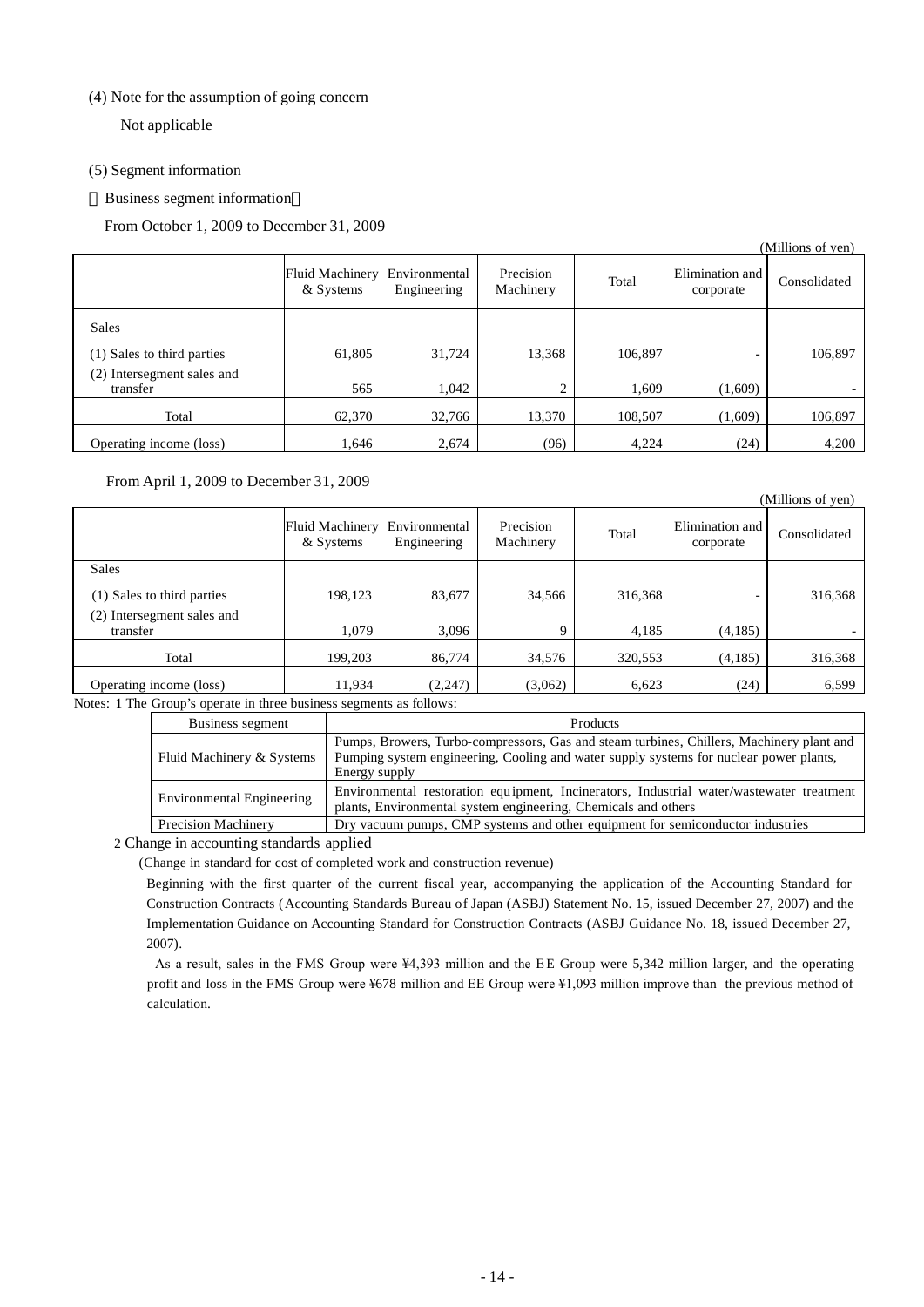### (4) Note for the assumption of going concern

Not applicable

### (5) Segment information

Business segment information

From October 1, 2009 to December 31, 2009

|                                           |                                     |                              |                        |         |                              | (Millions of yen) |
|-------------------------------------------|-------------------------------------|------------------------------|------------------------|---------|------------------------------|-------------------|
|                                           | <b>Fluid Machinery</b><br>& Systems | Environmental<br>Engineering | Precision<br>Machinery | Total   | Elimination and<br>corporate | Consolidated      |
| <b>Sales</b>                              |                                     |                              |                        |         |                              |                   |
| (1) Sales to third parties                | 61,805                              | 31,724                       | 13,368                 | 106,897 |                              | 106,897           |
| Intersegment sales and<br>(2)<br>transfer | 565                                 | 1.042                        | 2                      | 1,609   | (1,609)                      |                   |
| Total                                     | 62,370                              | 32,766                       | 13,370                 | 108,507 | (1,609)                      | 106,897           |
| Operating income (loss)                   | 1,646                               | 2,674                        | (96)                   | 4,224   | (24)                         | 4,200             |

### From April 1, 2009 to December 31, 2009

|                            |                                     |                              |                        |         |                              | (Millions of yen) |
|----------------------------|-------------------------------------|------------------------------|------------------------|---------|------------------------------|-------------------|
|                            | <b>Fluid Machinery</b><br>& Systems | Environmental<br>Engineering | Precision<br>Machinery | Total   | Elimination and<br>corporate | Consolidated      |
| <b>Sales</b>               |                                     |                              |                        |         |                              |                   |
| (1) Sales to third parties | 198,123                             | 83,677                       | 34,566                 | 316,368 |                              | 316,368           |
| (2) Intersegment sales and |                                     |                              |                        |         |                              |                   |
| transfer                   | 1,079                               | 3,096                        | 9                      | 4,185   | (4,185)                      |                   |
| Total                      | 199,203                             | 86,774                       | 34,576                 | 320,553 | (4,185)                      | 316,368           |
| Operating income (loss)    | 11,934                              | (2, 247)                     | (3,062)                | 6,623   | (24)                         | 6,599             |

Notes: 1 The Group's operate in three business segments as follows:

| Business segment                 | Products                                                                                                                                                                                            |
|----------------------------------|-----------------------------------------------------------------------------------------------------------------------------------------------------------------------------------------------------|
| Fluid Machinery & Systems        | Pumps, Browers, Turbo-compressors, Gas and steam turbines, Chillers, Machinery plant and<br>Pumping system engineering, Cooling and water supply systems for nuclear power plants,<br>Energy supply |
| <b>Environmental Engineering</b> | Environmental restoration equipment, Incinerators, Industrial water/wastewater treatment<br>plants, Environmental system engineering, Chemicals and others                                          |
| <b>Precision Machinery</b>       | Dry vacuum pumps, CMP systems and other equipment for semiconductor industries                                                                                                                      |

2 Change in accounting standards applied

(Change in standard for cost of completed work and construction revenue)

Beginning with the first quarter of the current fiscal year, accompanying the application of the Accounting Standard for Construction Contracts (Accounting Standards Bureau of Japan (ASBJ) Statement No. 15, issued December 27, 2007) and the Implementation Guidance on Accounting Standard for Construction Contracts (ASBJ Guidance No. 18, issued December 27, 2007).

As a result, sales in the FMS Group were ¥4,393 million and the EE Group were 5,342 million larger, and the operating profit and loss in the FMS Group were ¥678 million and EE Group were ¥1,093 million improve than the previous method of calculation.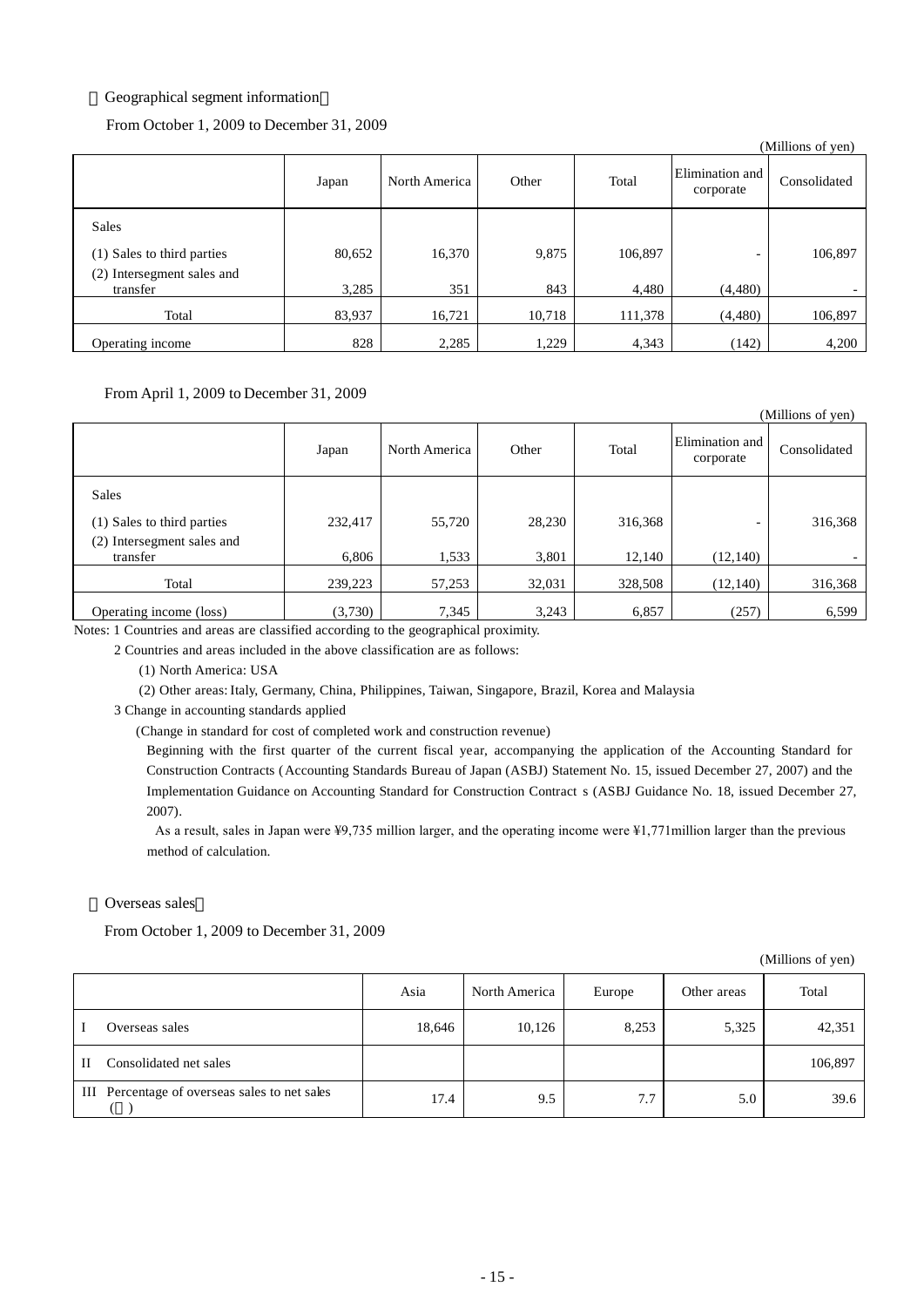### Geographical segment information

From October 1, 2009 to December 31, 2009

|                                        |        |               |        |         |                              | (Millions of yen) |
|----------------------------------------|--------|---------------|--------|---------|------------------------------|-------------------|
|                                        | Japan  | North America | Other  | Total   | Elimination and<br>corporate | Consolidated      |
| <b>Sales</b>                           |        |               |        |         |                              |                   |
| (1) Sales to third parties             | 80,652 | 16,370        | 9,875  | 106,897 | -                            | 106,897           |
| (2) Intersegment sales and<br>transfer | 3,285  | 351           | 843    | 4,480   | (4,480)                      |                   |
| Total                                  | 83,937 | 16,721        | 10,718 | 111,378 | (4,480)                      | 106,897           |
| Operating income                       | 828    | 2,285         | 1,229  | 4,343   | (142)                        | 4,200             |

From April 1, 2009 to December 31, 2009

|                                        |         |               |        |         |                              | (Millions of yen) |
|----------------------------------------|---------|---------------|--------|---------|------------------------------|-------------------|
|                                        | Japan   | North America | Other  | Total   | Elimination and<br>corporate | Consolidated      |
| <b>Sales</b>                           |         |               |        |         |                              |                   |
| (1) Sales to third parties             | 232,417 | 55,720        | 28,230 | 316,368 | $\overline{\phantom{0}}$     | 316,368           |
| (2) Intersegment sales and<br>transfer | 6,806   | 1,533         | 3,801  | 12,140  | (12, 140)                    |                   |
|                                        |         |               |        |         |                              |                   |
| Total                                  | 239,223 | 57,253        | 32,031 | 328,508 | (12, 140)                    | 316,368           |
| Operating income (loss)                | (3,730) | 7,345         | 3,243  | 6,857   | (257)                        | 6,599             |

Notes: 1 Countries and areas are classified according to the geographical proximity.

2 Countries and areas included in the above classification are as follows:

(1) North America: USA

(2) Other areas: Italy, Germany, China, Philippines, Taiwan, Singapore, Brazil, Korea and Malaysia

3 Change in accounting standards applied

(Change in standard for cost of completed work and construction revenue)

Beginning with the first quarter of the current fiscal year, accompanying the application of the Accounting Standard for Construction Contracts (Accounting Standards Bureau of Japan (ASBJ) Statement No. 15, issued December 27, 2007) and the Implementation Guidance on Accounting Standard for Construction Contract s (ASBJ Guidance No. 18, issued December 27, 2007).

As a result, sales in Japan were ¥9,735 million larger, and the operating income were ¥1,771million larger than the previous method of calculation.

Overseas sales

From October 1, 2009 to December 31, 2009

(Millions of yen)

|   |                                               | Asia   | North America | Europe | Other areas | Total   |
|---|-----------------------------------------------|--------|---------------|--------|-------------|---------|
|   | Overseas sales                                | 18,646 | 10,126        | 8,253  | 5,325       | 42,351  |
| Н | Consolidated net sales                        |        |               |        |             | 106,897 |
|   | III Percentage of overseas sales to net sales | 17.4   | 9.5           | 7.7    | 5.0         | 39.6    |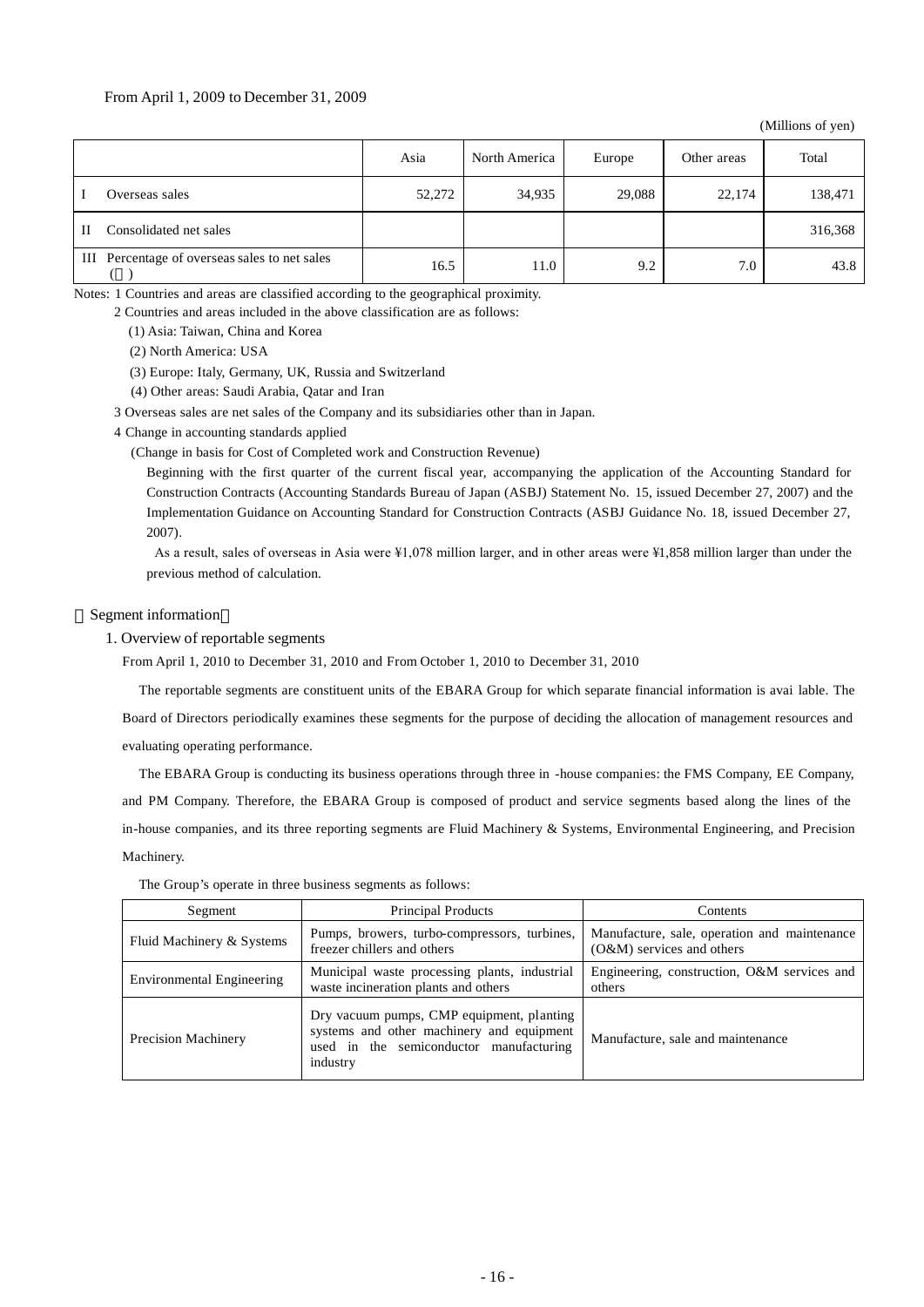#### From April 1, 2009 to December 31, 2009

(Millions of yen)

|                                               | Asia   | North America | Europe | Other areas | Total   |
|-----------------------------------------------|--------|---------------|--------|-------------|---------|
| Overseas sales                                | 52,272 | 34,935        | 29,088 | 22,174      | 138,471 |
| Consolidated net sales<br>$\mathbf{H}$        |        |               |        |             | 316,368 |
| III Percentage of overseas sales to net sales | 16.5   | 11.0          | 9.2    | 7.0         | 43.8    |

Notes: 1 Countries and areas are classified according to the geographical proximity.

2 Countries and areas included in the above classification are as follows:

(1) Asia: Taiwan, China and Korea

(2) North America: USA

(3) Europe: Italy, Germany, UK, Russia and Switzerland

(4) Other areas: Saudi Arabia, Qatar and Iran

3 Overseas sales are net sales of the Company and its subsidiaries other than in Japan.

4 Change in accounting standards applied

(Change in basis for Cost of Completed work and Construction Revenue)

Beginning with the first quarter of the current fiscal year, accompanying the application of the Accounting Standard for Construction Contracts (Accounting Standards Bureau of Japan (ASBJ) Statement No. 15, issued December 27, 2007) and the Implementation Guidance on Accounting Standard for Construction Contracts (ASBJ Guidance No. 18, issued December 27, 2007).

As a result, sales of overseas in Asia were ¥1,078 million larger, and in other areas were ¥1,858 million larger than under the previous method of calculation.

#### Segment information

1. Overview of reportable segments

From April 1, 2010 to December 31, 2010 and From October 1, 2010 to December 31, 2010

The reportable segments are constituent units of the EBARA Group for which separate financial information is avai lable. The

Board of Directors periodically examines these segments for the purpose of deciding the allocation of management resources and evaluating operating performance.

The EBARA Group is conducting its business operations through three in -house companies: the FMS Company, EE Company, and PM Company. Therefore, the EBARA Group is composed of product and service segments based along the lines of the in-house companies, and its three reporting segments are Fluid Machinery & Systems, Environmental Engineering, and Precision Machinery.

| Segment                          | <b>Principal Products</b>                                                                                                                     | Contents                                                                    |
|----------------------------------|-----------------------------------------------------------------------------------------------------------------------------------------------|-----------------------------------------------------------------------------|
| Fluid Machinery & Systems        | Pumps, browers, turbo-compressors, turbines,<br>freezer chillers and others                                                                   | Manufacture, sale, operation and maintenance<br>$(O&M)$ services and others |
| <b>Environmental Engineering</b> | Municipal waste processing plants, industrial<br>waste incineration plants and others                                                         | Engineering, construction, O&M services and<br>others                       |
| <b>Precision Machinery</b>       | Dry vacuum pumps, CMP equipment, planting<br>systems and other machinery and equipment<br>used in the semiconductor manufacturing<br>industry | Manufacture, sale and maintenance                                           |

The Group's operate in three business segments as follows: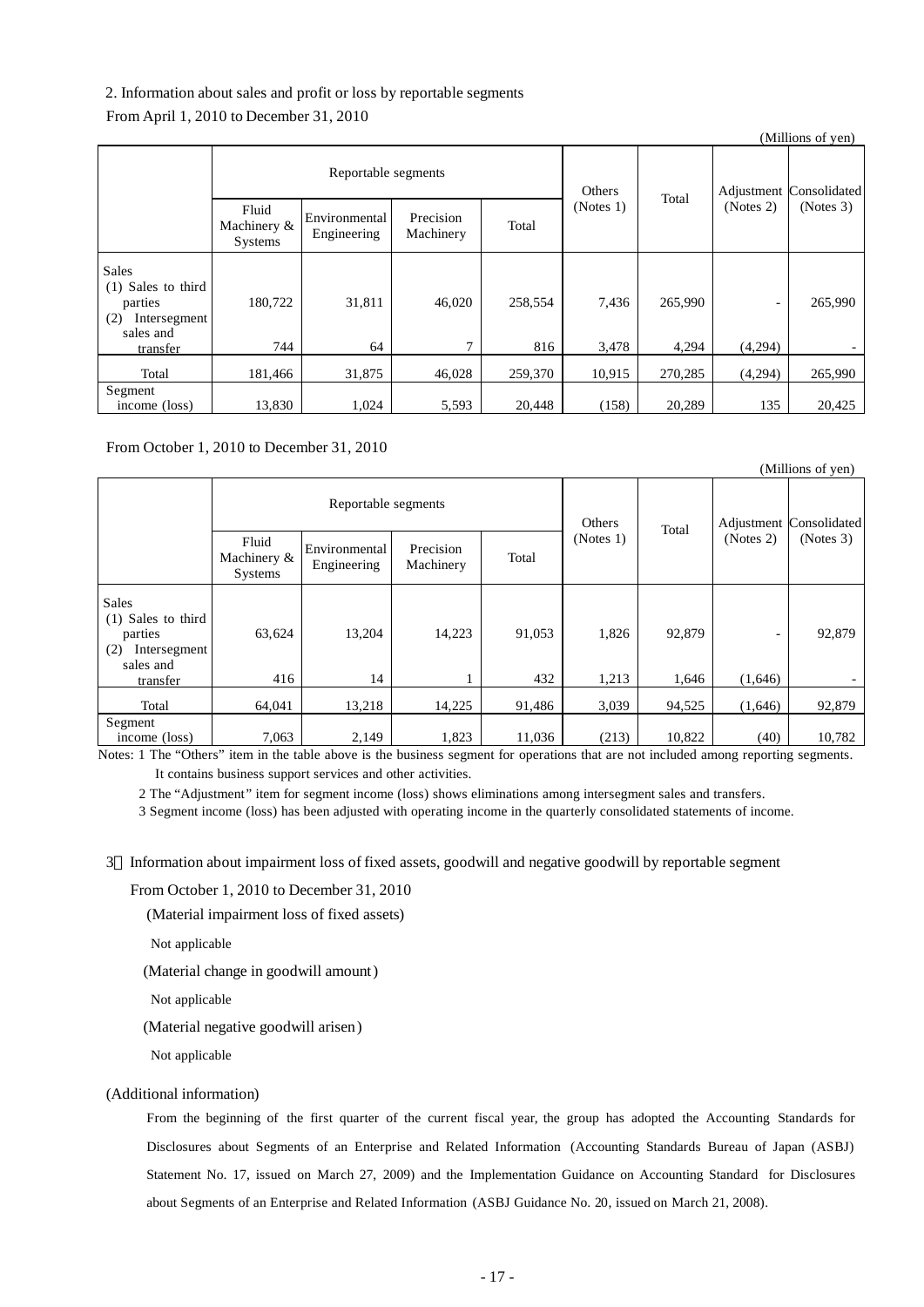### 2. Information about sales and profit or loss by reportable segments

#### From April 1, 2010 to December 31, 2010

|                                                                                        |                                 |                              |                        |                |                |                  |                                     | (WHILIONS OF YEAR) |
|----------------------------------------------------------------------------------------|---------------------------------|------------------------------|------------------------|----------------|----------------|------------------|-------------------------------------|--------------------|
|                                                                                        | Reportable segments             |                              |                        | Others         | Total          |                  | Adjustment Consolidated             |                    |
|                                                                                        | Fluid<br>Machinery &<br>Systems | Environmental<br>Engineering | Precision<br>Machinery | Total          | (Notes 1)      |                  | (Notes 2)                           | (Notes 3)          |
| Sales<br>(1) Sales to third<br>parties<br>(2)<br>Intersegment<br>sales and<br>transfer | 180,722<br>744                  | 31,811<br>64                 | 46,020<br>7            | 258,554<br>816 | 7,436<br>3,478 | 265,990<br>4,294 | $\overline{\phantom{a}}$<br>(4,294) | 265,990            |
| Total                                                                                  | 181,466                         | 31,875                       | 46,028                 | 259,370        | 10,915         | 270,285          | (4,294)                             | 265,990            |
| Segment<br>income (loss)                                                               | 13,830                          | 1,024                        | 5,593                  | 20,448         | (158)          | 20,289           | 135                                 | 20,425             |

 $\alpha$  curve of  $\alpha$ 

From October 1, 2010 to December 31, 2010

|                                                                                        |                                 |                              |                        |               |                |                 |                                         | (Millions of yen) |
|----------------------------------------------------------------------------------------|---------------------------------|------------------------------|------------------------|---------------|----------------|-----------------|-----------------------------------------|-------------------|
|                                                                                        | Reportable segments             |                              |                        | Others        |                |                 | Adjustment Consolidated                 |                   |
|                                                                                        | Fluid<br>Machinery &<br>Systems | Environmental<br>Engineering | Precision<br>Machinery | Total         | (Notes 1)      | Total           | (Notes 2)                               | (Notes 3)         |
| Sales<br>(1) Sales to third<br>parties<br>(2)<br>Intersegment<br>sales and<br>transfer | 63,624<br>416                   | 13,204<br>14                 | 14,223                 | 91,053<br>432 | 1,826<br>1,213 | 92,879<br>1,646 | $\qquad \qquad \blacksquare$<br>(1,646) | 92,879            |
| Total                                                                                  | 64,041                          | 13,218                       | 14,225                 | 91,486        | 3,039          | 94,525          | (1,646)                                 | 92,879            |
| Segment<br>income (loss)                                                               | 7,063                           | 2,149                        | 1,823                  | 11,036        | (213)          | 10,822          | (40)                                    | 10,782            |

Notes: 1 The "Others" item in the table above is the business segment for operations that are not included among reporting segments. It contains business support services and other activities.

2 The "Adjustment" item for segment income (loss) shows eliminations among intersegment sales and transfers.

3 Segment income (loss) has been adjusted with operating income in the quarterly consolidated statements of income.

3 Information about impairment loss of fixed assets, goodwill and negative goodwill by reportable segment

From October 1, 2010 to December 31, 2010

(Material impairment loss of fixed assets)

Not applicable

(Material change in goodwill amount)

Not applicable

(Material negative goodwill arisen)

Not applicable

### (Additional information)

From the beginning of the first quarter of the current fiscal year, the group has adopted the Accounting Standards for Disclosures about Segments of an Enterprise and Related Information (Accounting Standards Bureau of Japan (ASBJ) Statement No. 17, issued on March 27, 2009) and the Implementation Guidance on Accounting Standard for Disclosures about Segments of an Enterprise and Related Information (ASBJ Guidance No. 20, issued on March 21, 2008).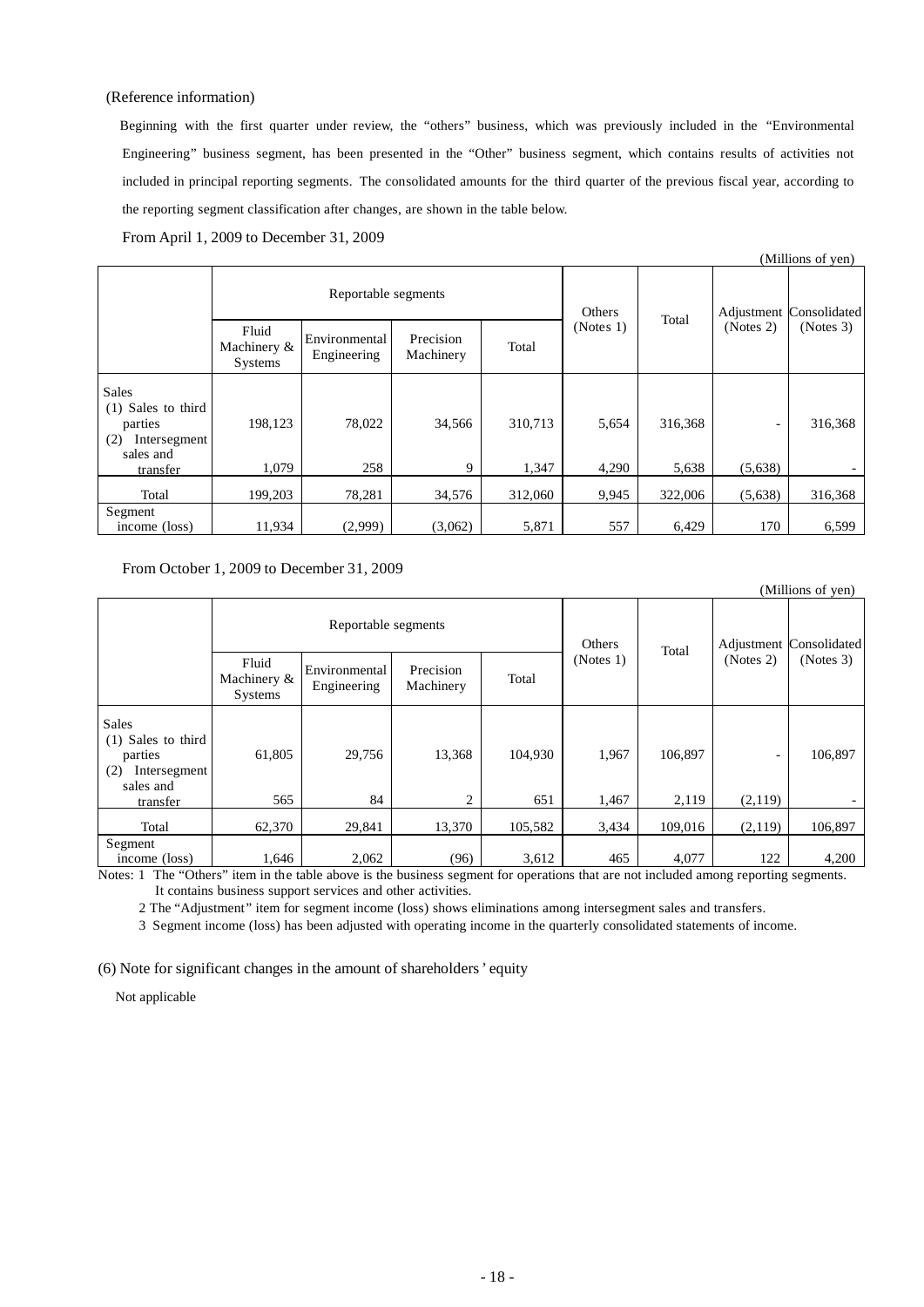#### (Reference information)

Beginning with the first quarter under review, the "others" business, which was previously included in the "Environmental Engineering" business segment, has been presented in the "Other" business segment, which contains results of activities not included in principal reporting segments. The consolidated amounts for the third quarter of the previous fiscal year, according to the reporting segment classification after changes, are shown in the table below.

From April 1, 2009 to December 31, 2009

|                                                                                        |                                 |                              |                        |                  |                |                  |                                     | (Millions of yen) |
|----------------------------------------------------------------------------------------|---------------------------------|------------------------------|------------------------|------------------|----------------|------------------|-------------------------------------|-------------------|
|                                                                                        | Reportable segments             |                              |                        | Others           |                |                  | Adjustment Consolidated             |                   |
|                                                                                        | Fluid<br>Machinery &<br>Systems | Environmental<br>Engineering | Precision<br>Machinery | Total            | (Notes 1)      | Total            | (Notes 2)                           | (Notes 3)         |
| Sales<br>(1) Sales to third<br>parties<br>(2)<br>Intersegment<br>sales and<br>transfer | 198,123<br>1.079                | 78,022<br>258                | 34,566<br>9            | 310,713<br>1,347 | 5,654<br>4,290 | 316,368<br>5,638 | $\overline{\phantom{a}}$<br>(5,638) | 316,368           |
| Total                                                                                  | 199,203                         | 78,281                       | 34,576                 | 312,060          | 9,945          | 322,006          | (5,638)                             | 316,368           |
| Segment<br>income (loss)                                                               | 11,934                          | (2,999)                      | (3,062)                | 5,871            | 557            | 6,429            | 170                                 | 6,599             |

From October 1, 2009 to December 31, 2009

|                                                                                        |                                 |                              |                        |                |                |                  |              | (Millions of yen) |
|----------------------------------------------------------------------------------------|---------------------------------|------------------------------|------------------------|----------------|----------------|------------------|--------------|-------------------|
|                                                                                        | Reportable segments             |                              |                        | Others         |                | Adjustment       | Consolidated |                   |
|                                                                                        | Fluid<br>Machinery &<br>Systems | Environmental<br>Engineering | Precision<br>Machinery | Total          | (Notes 1)      | Total            | (Notes 2)    | (Notes 3)         |
| Sales<br>(1) Sales to third<br>parties<br>(2)<br>Intersegment<br>sales and<br>transfer | 61,805<br>565                   | 29,756<br>84                 | 13,368<br>2            | 104,930<br>651 | 1,967<br>1,467 | 106.897<br>2,119 | -<br>(2,119) | 106,897           |
| Total                                                                                  | 62,370                          | 29,841                       | 13,370                 | 105,582        | 3,434          | 109,016          | (2,119)      | 106,897           |
| Segment<br>income (loss)                                                               | 1,646                           | 2,062                        | (96)                   | 3,612          | 465            | 4,077            | 122          | 4,200             |

Notes: 1 The "Others" item in the table above is the business segment for operations that are not included among reporting segments. It contains business support services and other activities.

2 The "Adjustment" item for segment income (loss) shows eliminations among intersegment sales and transfers.

3 Segment income (loss) has been adjusted with operating income in the quarterly consolidated statements of income.

(6) Note for significant changes in the amount of shareholders' equity

Not applicable